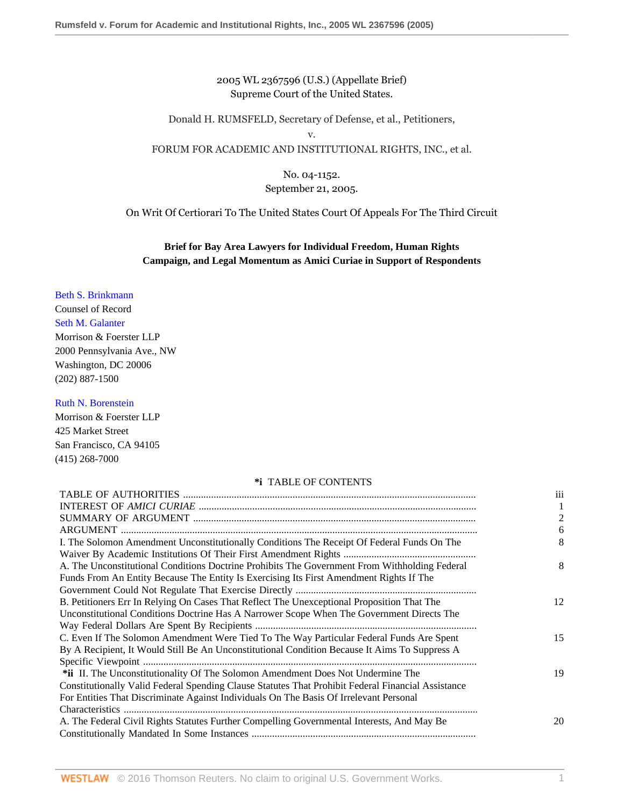2005 WL 2367596 (U.S.) (Appellate Brief) Supreme Court of the United States.

Donald H. RUMSFELD, Secretary of Defense, et al., Petitioners, v.

FORUM FOR ACADEMIC AND INSTITUTIONAL RIGHTS, INC., et al.

## No. 04-1152. September 21, 2005.

On Writ Of Certiorari To The United States Court Of Appeals For The Third Circuit

# **Brief for Bay Area Lawyers for Individual Freedom, Human Rights Campaign, and Legal Momentum as Amici Curiae in Support of Respondents**

## [Beth S. Brinkmann](http://www.westlaw.com/Link/Document/FullText?findType=h&pubNum=176284&cite=0144250201&originatingDoc=I6c8b24402f9d11dab072a248d584787d&refType=RQ&originationContext=document&vr=3.0&rs=cblt1.0&transitionType=DocumentItem&contextData=(sc.RelatedInfo))

Counsel of Record [Seth M. Galanter](http://www.westlaw.com/Link/Document/FullText?findType=h&pubNum=176284&cite=0107286001&originatingDoc=I6c8b24402f9d11dab072a248d584787d&refType=RQ&originationContext=document&vr=3.0&rs=cblt1.0&transitionType=DocumentItem&contextData=(sc.RelatedInfo)) Morrison & Foerster LLP 2000 Pennsylvania Ave., NW Washington, DC 20006 (202) 887-1500

#### [Ruth N. Borenstein](http://www.westlaw.com/Link/Document/FullText?findType=h&pubNum=176284&cite=0225186101&originatingDoc=I6c8b24402f9d11dab072a248d584787d&refType=RQ&originationContext=document&vr=3.0&rs=cblt1.0&transitionType=DocumentItem&contextData=(sc.RelatedInfo))

Morrison & Foerster LLP 425 Market Street San Francisco, CA 94105 (415) 268-7000

#### **\*i** TABLE OF CONTENTS

|                                                                                                    | iii                      |
|----------------------------------------------------------------------------------------------------|--------------------------|
|                                                                                                    |                          |
|                                                                                                    | $\overline{\mathcal{L}}$ |
|                                                                                                    | 6                        |
| I. The Solomon Amendment Unconstitutionally Conditions The Receipt Of Federal Funds On The         | 8                        |
|                                                                                                    |                          |
| A. The Unconstitutional Conditions Doctrine Prohibits The Government From Withholding Federal      | 8                        |
| Funds From An Entity Because The Entity Is Exercising Its First Amendment Rights If The            |                          |
|                                                                                                    |                          |
| B. Petitioners Err In Relying On Cases That Reflect The Unexceptional Proposition That The         | 12                       |
| Unconstitutional Conditions Doctrine Has A Narrower Scope When The Government Directs The          |                          |
|                                                                                                    |                          |
| C. Even If The Solomon Amendment Were Tied To The Way Particular Federal Funds Are Spent           | 15                       |
| By A Recipient, It Would Still Be An Unconstitutional Condition Because It Aims To Suppress A      |                          |
|                                                                                                    |                          |
| *ii II. The Unconstitutionality Of The Solomon Amendment Does Not Undermine The                    | 19                       |
| Constitutionally Valid Federal Spending Clause Statutes That Prohibit Federal Financial Assistance |                          |
| For Entities That Discriminate Against Individuals On The Basis Of Irrelevant Personal             |                          |
|                                                                                                    |                          |
| A. The Federal Civil Rights Statutes Further Compelling Governmental Interests, And May Be         | 20                       |
|                                                                                                    |                          |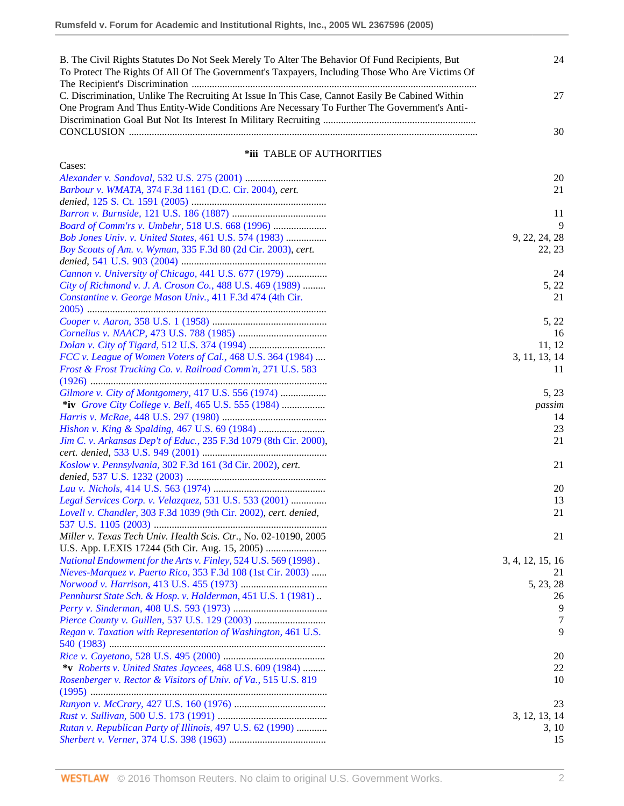| B. The Civil Rights Statutes Do Not Seek Merely To Alter The Behavior Of Fund Recipients, But   | 24 |
|-------------------------------------------------------------------------------------------------|----|
| To Protect The Rights Of All Of The Government's Taxpayers, Including Those Who Are Victims Of  |    |
|                                                                                                 |    |
| C. Discrimination, Unlike The Recruiting At Issue In This Case, Cannot Easily Be Cabined Within | 27 |
| One Program And Thus Entity-Wide Conditions Are Necessary To Further The Government's Anti-     |    |
|                                                                                                 |    |
|                                                                                                 | 30 |

## **\*iii** TABLE OF AUTHORITIES

| Cases:                                                            |                  |
|-------------------------------------------------------------------|------------------|
|                                                                   | 20               |
| Barbour v. WMATA, 374 F.3d 1161 (D.C. Cir. 2004), cert.           | 21               |
|                                                                   |                  |
|                                                                   | 11               |
| Board of Comm'rs v. Umbehr, 518 U.S. 668 (1996)                   | 9                |
| Bob Jones Univ. v. United States, 461 U.S. 574 (1983)             | 9, 22, 24, 28    |
| Boy Scouts of Am. v. Wyman, 335 F.3d 80 (2d Cir. 2003), cert.     | 22, 23           |
|                                                                   |                  |
| Cannon v. University of Chicago, 441 U.S. 677 (1979)              | 24               |
| City of Richmond v. J. A. Croson Co., 488 U.S. 469 (1989)         | 5, 22            |
| Constantine v. George Mason Univ., 411 F.3d 474 (4th Cir.         | 21               |
|                                                                   |                  |
|                                                                   | 5, 22            |
|                                                                   | 16               |
|                                                                   | 11, 12           |
| FCC v. League of Women Voters of Cal., 468 U.S. 364 (1984)        | 3, 11, 13, 14    |
| Frost & Frost Trucking Co. v. Railroad Comm'n, 271 U.S. 583       | 11               |
|                                                                   |                  |
| Gilmore v. City of Montgomery, 417 U.S. 556 (1974)                | 5, 23            |
| *iv Grove City College v. Bell, 465 U.S. 555 (1984)               | passim           |
|                                                                   | 14               |
|                                                                   | 23               |
| Jim C. v. Arkansas Dep't of Educ., 235 F.3d 1079 (8th Cir. 2000), | 21               |
|                                                                   |                  |
| Koslow v. Pennsylvania, 302 F.3d 161 (3d Cir. 2002), cert.        | 21               |
|                                                                   |                  |
|                                                                   | 20               |
| Legal Services Corp. v. Velazquez, 531 U.S. 533 (2001)            | 13               |
| Lovell v. Chandler, 303 F.3d 1039 (9th Cir. 2002), cert. denied,  | 21               |
|                                                                   |                  |
| Miller v. Texas Tech Univ. Health Scis. Ctr., No. 02-10190, 2005  | 21               |
|                                                                   |                  |
| National Endowment for the Arts v. Finley, 524 U.S. 569 (1998).   | 3, 4, 12, 15, 16 |
| Nieves-Marquez v. Puerto Rico, 353 F.3d 108 (1st Cir. 2003)       | 21               |
|                                                                   | 5, 23, 28        |
| Pennhurst State Sch. & Hosp. v. Halderman, 451 U.S. 1 (1981).     | 26               |
|                                                                   | 9                |
|                                                                   | 7                |
| Regan v. Taxation with Representation of Washington, 461 U.S.     | 9                |
|                                                                   |                  |
|                                                                   | 20               |
| *v Roberts v. United States Jaycees, 468 U.S. 609 (1984)          | 22               |
| Rosenberger v. Rector & Visitors of Univ. of Va., 515 U.S. 819    | 10               |
|                                                                   |                  |
|                                                                   | 23               |
|                                                                   | 3, 12, 13, 14    |
|                                                                   |                  |
|                                                                   |                  |
| Rutan v. Republican Party of Illinois, 497 U.S. 62 (1990)         | 3, 10<br>15      |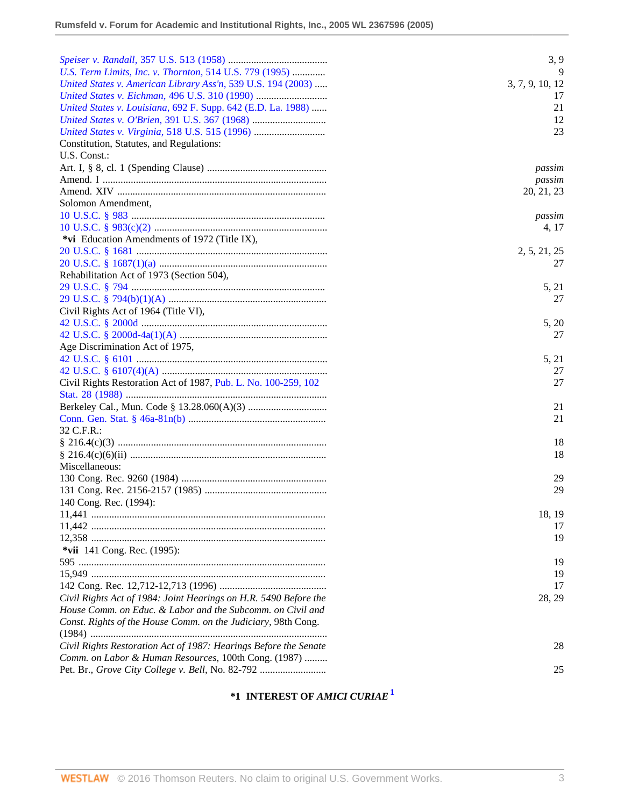|                                                                  | 3, 9            |
|------------------------------------------------------------------|-----------------|
| U.S. Term Limits, Inc. v. Thornton, 514 U.S. 779 (1995)          | 9               |
| United States v. American Library Ass'n, 539 U.S. 194 (2003)     | 3, 7, 9, 10, 12 |
|                                                                  | 17              |
| United States v. Louisiana, 692 F. Supp. 642 (E.D. La. 1988)     | 21              |
|                                                                  | 12              |
|                                                                  | 23              |
| Constitution, Statutes, and Regulations:                         |                 |
| U.S. Const.:                                                     |                 |
|                                                                  |                 |
|                                                                  | passim          |
|                                                                  | passim          |
|                                                                  | 20, 21, 23      |
| Solomon Amendment,                                               |                 |
|                                                                  | passim          |
|                                                                  | 4, 17           |
| *vi Education Amendments of 1972 (Title IX),                     |                 |
|                                                                  | 2, 5, 21, 25    |
|                                                                  | 27              |
| Rehabilitation Act of 1973 (Section 504),                        |                 |
|                                                                  | 5, 21           |
|                                                                  | 27              |
| Civil Rights Act of 1964 (Title VI),                             |                 |
|                                                                  | 5, 20           |
|                                                                  | 27              |
| Age Discrimination Act of 1975,                                  |                 |
|                                                                  | 5, 21           |
|                                                                  | 27              |
| Civil Rights Restoration Act of 1987, Pub. L. No. 100-259, 102   | 27              |
|                                                                  |                 |
|                                                                  | 21              |
|                                                                  | 21              |
| 32 C.F.R.:                                                       |                 |
|                                                                  | 18              |
|                                                                  | 18              |
| Miscellaneous:                                                   |                 |
|                                                                  | 29              |
|                                                                  | 29              |
| 140 Cong. Rec. (1994):                                           |                 |
|                                                                  | 18, 19          |
|                                                                  | 17              |
|                                                                  | 19              |
| *vii $141$ Cong. Rec. (1995):                                    |                 |
|                                                                  | 19              |
|                                                                  | 19              |
|                                                                  | 17              |
|                                                                  |                 |
| Civil Rights Act of 1984: Joint Hearings on H.R. 5490 Before the | 28, 29          |
| House Comm. on Educ. & Labor and the Subcomm. on Civil and       |                 |
| Const. Rights of the House Comm. on the Judiciary, 98th Cong.    |                 |
|                                                                  |                 |
| Civil Rights Restoration Act of 1987: Hearings Before the Senate | 28              |
| Comm. on Labor & Human Resources, 100th Cong. (1987)             |                 |
| Pet. Br., Grove City College v. Bell, No. 82-792                 | 25              |

# <span id="page-2-0"></span>**\*1 INTEREST OF** *AMICI CURIAE***[1](#page-14-0)**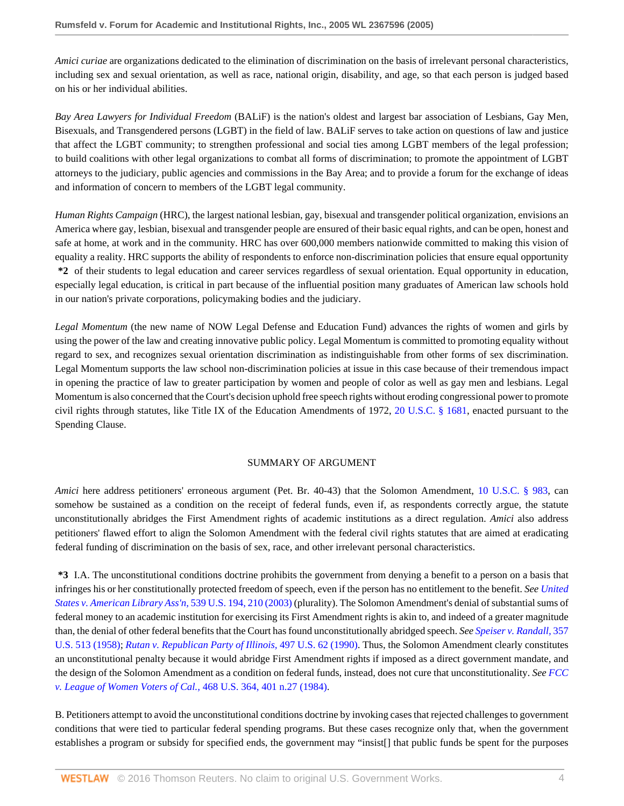*Amici curiae* are organizations dedicated to the elimination of discrimination on the basis of irrelevant personal characteristics, including sex and sexual orientation, as well as race, national origin, disability, and age, so that each person is judged based on his or her individual abilities.

*Bay Area Lawyers for Individual Freedom* (BALiF) is the nation's oldest and largest bar association of Lesbians, Gay Men, Bisexuals, and Transgendered persons (LGBT) in the field of law. BALiF serves to take action on questions of law and justice that affect the LGBT community; to strengthen professional and social ties among LGBT members of the legal profession; to build coalitions with other legal organizations to combat all forms of discrimination; to promote the appointment of LGBT attorneys to the judiciary, public agencies and commissions in the Bay Area; and to provide a forum for the exchange of ideas and information of concern to members of the LGBT legal community.

*Human Rights Campaign* (HRC), the largest national lesbian, gay, bisexual and transgender political organization, envisions an America where gay, lesbian, bisexual and transgender people are ensured of their basic equal rights, and can be open, honest and safe at home, at work and in the community. HRC has over 600,000 members nationwide committed to making this vision of equality a reality. HRC supports the ability of respondents to enforce non-discrimination policies that ensure equal opportunity **\*2** of their students to legal education and career services regardless of sexual orientation. Equal opportunity in education, especially legal education, is critical in part because of the influential position many graduates of American law schools hold in our nation's private corporations, policymaking bodies and the judiciary.

*Legal Momentum* (the new name of NOW Legal Defense and Education Fund) advances the rights of women and girls by using the power of the law and creating innovative public policy. Legal Momentum is committed to promoting equality without regard to sex, and recognizes sexual orientation discrimination as indistinguishable from other forms of sex discrimination. Legal Momentum supports the law school non-discrimination policies at issue in this case because of their tremendous impact in opening the practice of law to greater participation by women and people of color as well as gay men and lesbians. Legal Momentum is also concerned that the Court's decision uphold free speech rights without eroding congressional power to promote civil rights through statutes, like Title IX of the Education Amendments of 1972, [20 U.S.C. § 1681](http://www.westlaw.com/Link/Document/FullText?findType=L&pubNum=1000546&cite=20USCAS1681&originatingDoc=I6c8b24402f9d11dab072a248d584787d&refType=LQ&originationContext=document&vr=3.0&rs=cblt1.0&transitionType=DocumentItem&contextData=(sc.RelatedInfo)), enacted pursuant to the Spending Clause.

#### SUMMARY OF ARGUMENT

*Amici* here address petitioners' erroneous argument (Pet. Br. 40-43) that the Solomon Amendment, [10 U.S.C. § 983,](http://www.westlaw.com/Link/Document/FullText?findType=L&pubNum=1000546&cite=10USCAS983&originatingDoc=I6c8b24402f9d11dab072a248d584787d&refType=LQ&originationContext=document&vr=3.0&rs=cblt1.0&transitionType=DocumentItem&contextData=(sc.RelatedInfo)) can somehow be sustained as a condition on the receipt of federal funds, even if, as respondents correctly argue, the statute unconstitutionally abridges the First Amendment rights of academic institutions as a direct regulation. *Amici* also address petitioners' flawed effort to align the Solomon Amendment with the federal civil rights statutes that are aimed at eradicating federal funding of discrimination on the basis of sex, race, and other irrelevant personal characteristics.

**\*3** I.A. The unconstitutional conditions doctrine prohibits the government from denying a benefit to a person on a basis that infringes his or her constitutionally protected freedom of speech, even if the person has no entitlement to the benefit. *See [United](http://www.westlaw.com/Link/Document/FullText?findType=Y&serNum=2003444563&pubNum=0000780&originatingDoc=I6c8b24402f9d11dab072a248d584787d&refType=RP&fi=co_pp_sp_780_210&originationContext=document&vr=3.0&rs=cblt1.0&transitionType=DocumentItem&contextData=(sc.RelatedInfo)#co_pp_sp_780_210) [States v. American Library Ass'n,](http://www.westlaw.com/Link/Document/FullText?findType=Y&serNum=2003444563&pubNum=0000780&originatingDoc=I6c8b24402f9d11dab072a248d584787d&refType=RP&fi=co_pp_sp_780_210&originationContext=document&vr=3.0&rs=cblt1.0&transitionType=DocumentItem&contextData=(sc.RelatedInfo)#co_pp_sp_780_210)* 539 U.S. 194, 210 (2003) (plurality). The Solomon Amendment's denial of substantial sums of federal money to an academic institution for exercising its First Amendment rights is akin to, and indeed of a greater magnitude than, the denial of other federal benefits that the Court has found unconstitutionally abridged speech. *See [Speiser v. Randall,](http://www.westlaw.com/Link/Document/FullText?findType=Y&serNum=1958121488&pubNum=0000780&originatingDoc=I6c8b24402f9d11dab072a248d584787d&refType=RP&originationContext=document&vr=3.0&rs=cblt1.0&transitionType=DocumentItem&contextData=(sc.RelatedInfo))* 357 [U.S. 513 \(1958\)](http://www.westlaw.com/Link/Document/FullText?findType=Y&serNum=1958121488&pubNum=0000780&originatingDoc=I6c8b24402f9d11dab072a248d584787d&refType=RP&originationContext=document&vr=3.0&rs=cblt1.0&transitionType=DocumentItem&contextData=(sc.RelatedInfo)); *[Rutan v. Republican Party of Illinois,](http://www.westlaw.com/Link/Document/FullText?findType=Y&serNum=1990096216&pubNum=0000780&originatingDoc=I6c8b24402f9d11dab072a248d584787d&refType=RP&originationContext=document&vr=3.0&rs=cblt1.0&transitionType=DocumentItem&contextData=(sc.RelatedInfo))* 497 U.S. 62 (1990). Thus, the Solomon Amendment clearly constitutes an unconstitutional penalty because it would abridge First Amendment rights if imposed as a direct government mandate, and the design of the Solomon Amendment as a condition on federal funds, instead, does not cure that unconstitutionality. *See [FCC](http://www.westlaw.com/Link/Document/FullText?findType=Y&serNum=1984132129&pubNum=0000780&originatingDoc=I6c8b24402f9d11dab072a248d584787d&refType=RP&fi=co_pp_sp_780_401&originationContext=document&vr=3.0&rs=cblt1.0&transitionType=DocumentItem&contextData=(sc.RelatedInfo)#co_pp_sp_780_401) [v. League of Women Voters of Cal.,](http://www.westlaw.com/Link/Document/FullText?findType=Y&serNum=1984132129&pubNum=0000780&originatingDoc=I6c8b24402f9d11dab072a248d584787d&refType=RP&fi=co_pp_sp_780_401&originationContext=document&vr=3.0&rs=cblt1.0&transitionType=DocumentItem&contextData=(sc.RelatedInfo)#co_pp_sp_780_401)* 468 U.S. 364, 401 n.27 (1984).

B. Petitioners attempt to avoid the unconstitutional conditions doctrine by invoking cases that rejected challenges to government conditions that were tied to particular federal spending programs. But these cases recognize only that, when the government establishes a program or subsidy for specified ends, the government may "insist[] that public funds be spent for the purposes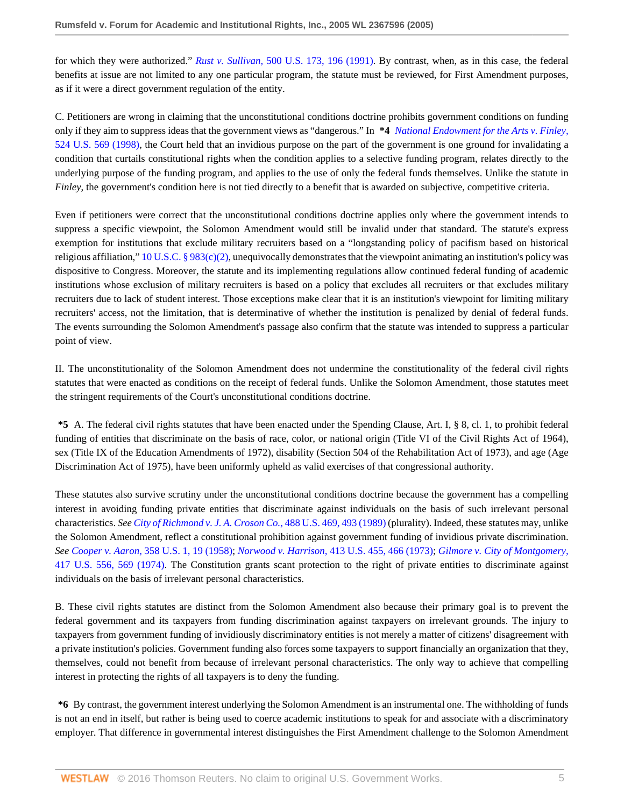for which they were authorized." *Rust v. Sullivan,* [500 U.S. 173, 196 \(1991\)](http://www.westlaw.com/Link/Document/FullText?findType=Y&serNum=1991096316&pubNum=0000780&originatingDoc=I6c8b24402f9d11dab072a248d584787d&refType=RP&fi=co_pp_sp_780_196&originationContext=document&vr=3.0&rs=cblt1.0&transitionType=DocumentItem&contextData=(sc.RelatedInfo)#co_pp_sp_780_196). By contrast, when, as in this case, the federal benefits at issue are not limited to any one particular program, the statute must be reviewed, for First Amendment purposes, as if it were a direct government regulation of the entity.

C. Petitioners are wrong in claiming that the unconstitutional conditions doctrine prohibits government conditions on funding only if they aim to suppress ideas that the government views as "dangerous." In **\*4** *National [Endowment for the Arts v. Finley,](http://www.westlaw.com/Link/Document/FullText?findType=Y&serNum=1998132146&pubNum=0000780&originatingDoc=I6c8b24402f9d11dab072a248d584787d&refType=RP&originationContext=document&vr=3.0&rs=cblt1.0&transitionType=DocumentItem&contextData=(sc.RelatedInfo))* [524 U.S. 569 \(1998\),](http://www.westlaw.com/Link/Document/FullText?findType=Y&serNum=1998132146&pubNum=0000780&originatingDoc=I6c8b24402f9d11dab072a248d584787d&refType=RP&originationContext=document&vr=3.0&rs=cblt1.0&transitionType=DocumentItem&contextData=(sc.RelatedInfo)) the Court held that an invidious purpose on the part of the government is one ground for invalidating a condition that curtails constitutional rights when the condition applies to a selective funding program, relates directly to the underlying purpose of the funding program, and applies to the use of only the federal funds themselves. Unlike the statute in *Finley*, the government's condition here is not tied directly to a benefit that is awarded on subjective, competitive criteria.

Even if petitioners were correct that the unconstitutional conditions doctrine applies only where the government intends to suppress a specific viewpoint, the Solomon Amendment would still be invalid under that standard. The statute's express exemption for institutions that exclude military recruiters based on a "longstanding policy of pacifism based on historical religious affiliation," [10 U.S.C. § 983\(c\)\(2\)](http://www.westlaw.com/Link/Document/FullText?findType=L&pubNum=1000546&cite=10USCAS983&originatingDoc=I6c8b24402f9d11dab072a248d584787d&refType=RB&originationContext=document&vr=3.0&rs=cblt1.0&transitionType=DocumentItem&contextData=(sc.RelatedInfo)#co_pp_fcf30000ea9c4), unequivocally demonstrates that the viewpoint animating an institution's policy was dispositive to Congress. Moreover, the statute and its implementing regulations allow continued federal funding of academic institutions whose exclusion of military recruiters is based on a policy that excludes all recruiters or that excludes military recruiters due to lack of student interest. Those exceptions make clear that it is an institution's viewpoint for limiting military recruiters' access, not the limitation, that is determinative of whether the institution is penalized by denial of federal funds. The events surrounding the Solomon Amendment's passage also confirm that the statute was intended to suppress a particular point of view.

II. The unconstitutionality of the Solomon Amendment does not undermine the constitutionality of the federal civil rights statutes that were enacted as conditions on the receipt of federal funds. Unlike the Solomon Amendment, those statutes meet the stringent requirements of the Court's unconstitutional conditions doctrine.

**\*5** A. The federal civil rights statutes that have been enacted under the Spending Clause, Art. I, § 8, cl. 1, to prohibit federal funding of entities that discriminate on the basis of race, color, or national origin (Title VI of the Civil Rights Act of 1964), sex (Title IX of the Education Amendments of 1972), disability (Section 504 of the Rehabilitation Act of 1973), and age (Age Discrimination Act of 1975), have been uniformly upheld as valid exercises of that congressional authority.

These statutes also survive scrutiny under the unconstitutional conditions doctrine because the government has a compelling interest in avoiding funding private entities that discriminate against individuals on the basis of such irrelevant personal characteristics. *See [City of Richmond v. J. A. Croson Co.,](http://www.westlaw.com/Link/Document/FullText?findType=Y&serNum=1989012998&pubNum=0000780&originatingDoc=I6c8b24402f9d11dab072a248d584787d&refType=RP&fi=co_pp_sp_780_493&originationContext=document&vr=3.0&rs=cblt1.0&transitionType=DocumentItem&contextData=(sc.RelatedInfo)#co_pp_sp_780_493)* 488 U.S. 469, 493 (1989) (plurality). Indeed, these statutes may, unlike the Solomon Amendment, reflect a constitutional prohibition against government funding of invidious private discrimination. *See Cooper v. Aaron,* [358 U.S. 1, 19 \(1958\)](http://www.westlaw.com/Link/Document/FullText?findType=Y&serNum=1958101036&pubNum=0000780&originatingDoc=I6c8b24402f9d11dab072a248d584787d&refType=RP&fi=co_pp_sp_780_19&originationContext=document&vr=3.0&rs=cblt1.0&transitionType=DocumentItem&contextData=(sc.RelatedInfo)#co_pp_sp_780_19); *Norwood v. Harrison,* [413 U.S. 455, 466 \(1973\)](http://www.westlaw.com/Link/Document/FullText?findType=Y&serNum=1973126448&pubNum=0000780&originatingDoc=I6c8b24402f9d11dab072a248d584787d&refType=RP&fi=co_pp_sp_780_466&originationContext=document&vr=3.0&rs=cblt1.0&transitionType=DocumentItem&contextData=(sc.RelatedInfo)#co_pp_sp_780_466); *[Gilmore v. City of Montgomery,](http://www.westlaw.com/Link/Document/FullText?findType=Y&serNum=1974127214&pubNum=0000780&originatingDoc=I6c8b24402f9d11dab072a248d584787d&refType=RP&fi=co_pp_sp_780_569&originationContext=document&vr=3.0&rs=cblt1.0&transitionType=DocumentItem&contextData=(sc.RelatedInfo)#co_pp_sp_780_569)* [417 U.S. 556, 569 \(1974\)](http://www.westlaw.com/Link/Document/FullText?findType=Y&serNum=1974127214&pubNum=0000780&originatingDoc=I6c8b24402f9d11dab072a248d584787d&refType=RP&fi=co_pp_sp_780_569&originationContext=document&vr=3.0&rs=cblt1.0&transitionType=DocumentItem&contextData=(sc.RelatedInfo)#co_pp_sp_780_569). The Constitution grants scant protection to the right of private entities to discriminate against individuals on the basis of irrelevant personal characteristics.

B. These civil rights statutes are distinct from the Solomon Amendment also because their primary goal is to prevent the federal government and its taxpayers from funding discrimination against taxpayers on irrelevant grounds. The injury to taxpayers from government funding of invidiously discriminatory entities is not merely a matter of citizens' disagreement with a private institution's policies. Government funding also forces some taxpayers to support financially an organization that they, themselves, could not benefit from because of irrelevant personal characteristics. The only way to achieve that compelling interest in protecting the rights of all taxpayers is to deny the funding.

**\*6** By contrast, the government interest underlying the Solomon Amendment is an instrumental one. The withholding of funds is not an end in itself, but rather is being used to coerce academic institutions to speak for and associate with a discriminatory employer. That difference in governmental interest distinguishes the First Amendment challenge to the Solomon Amendment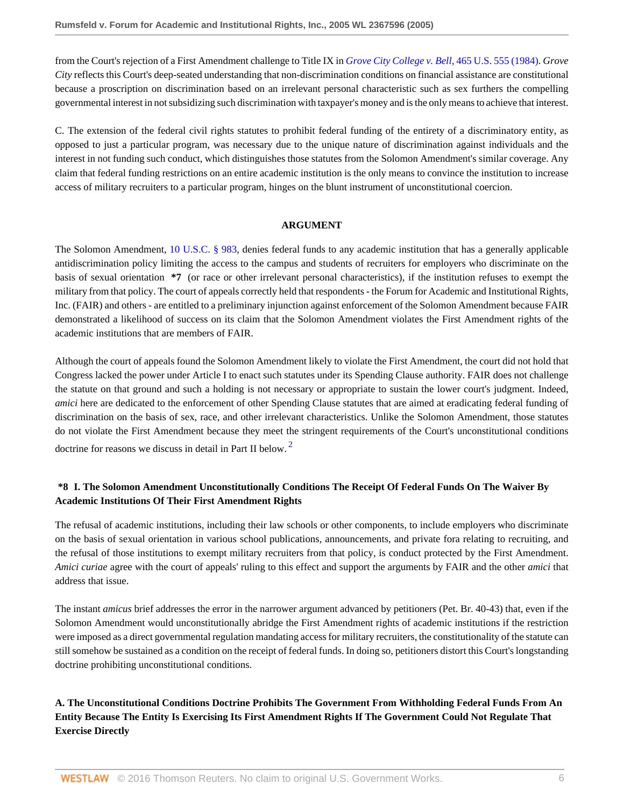from the Court's rejection of a First Amendment challenge to Title IX in *[Grove City College v. Bell,](http://www.westlaw.com/Link/Document/FullText?findType=Y&serNum=1984110000&pubNum=0000780&originatingDoc=I6c8b24402f9d11dab072a248d584787d&refType=RP&originationContext=document&vr=3.0&rs=cblt1.0&transitionType=DocumentItem&contextData=(sc.RelatedInfo))* 465 U.S. 555 (1984). *Grove City* reflects this Court's deep-seated understanding that non-discrimination conditions on financial assistance are constitutional because a proscription on discrimination based on an irrelevant personal characteristic such as sex furthers the compelling governmental interest in not subsidizing such discrimination with taxpayer's money and is the only means to achieve that interest.

C. The extension of the federal civil rights statutes to prohibit federal funding of the entirety of a discriminatory entity, as opposed to just a particular program, was necessary due to the unique nature of discrimination against individuals and the interest in not funding such conduct, which distinguishes those statutes from the Solomon Amendment's similar coverage. Any claim that federal funding restrictions on an entire academic institution is the only means to convince the institution to increase access of military recruiters to a particular program, hinges on the blunt instrument of unconstitutional coercion.

#### <span id="page-5-0"></span>**ARGUMENT**

The Solomon Amendment, [10 U.S.C. § 983](http://www.westlaw.com/Link/Document/FullText?findType=L&pubNum=1000546&cite=10USCAS983&originatingDoc=I6c8b24402f9d11dab072a248d584787d&refType=LQ&originationContext=document&vr=3.0&rs=cblt1.0&transitionType=DocumentItem&contextData=(sc.RelatedInfo)), denies federal funds to any academic institution that has a generally applicable antidiscrimination policy limiting the access to the campus and students of recruiters for employers who discriminate on the basis of sexual orientation **\*7** (or race or other irrelevant personal characteristics), if the institution refuses to exempt the military from that policy. The court of appeals correctly held that respondents - the Forum for Academic and Institutional Rights, Inc. (FAIR) and others - are entitled to a preliminary injunction against enforcement of the Solomon Amendment because FAIR demonstrated a likelihood of success on its claim that the Solomon Amendment violates the First Amendment rights of the academic institutions that are members of FAIR.

Although the court of appeals found the Solomon Amendment likely to violate the First Amendment, the court did not hold that Congress lacked the power under Article I to enact such statutes under its Spending Clause authority. FAIR does not challenge the statute on that ground and such a holding is not necessary or appropriate to sustain the lower court's judgment. Indeed, *amici* here are dedicated to the enforcement of other Spending Clause statutes that are aimed at eradicating federal funding of discrimination on the basis of sex, race, and other irrelevant characteristics. Unlike the Solomon Amendment, those statutes do not violate the First Amendment because they meet the stringent requirements of the Court's unconstitutional conditions doctrine for reasons we discuss in detail in Part II below.<sup>[2](#page-14-1)</sup>

# **\*8 I. The Solomon Amendment Unconstitutionally Conditions The Receipt Of Federal Funds On The Waiver By Academic Institutions Of Their First Amendment Rights**

The refusal of academic institutions, including their law schools or other components, to include employers who discriminate on the basis of sexual orientation in various school publications, announcements, and private fora relating to recruiting, and the refusal of those institutions to exempt military recruiters from that policy, is conduct protected by the First Amendment. *Amici curiae* agree with the court of appeals' ruling to this effect and support the arguments by FAIR and the other *amici* that address that issue.

The instant *amicus* brief addresses the error in the narrower argument advanced by petitioners (Pet. Br. 40-43) that, even if the Solomon Amendment would unconstitutionally abridge the First Amendment rights of academic institutions if the restriction were imposed as a direct governmental regulation mandating access for military recruiters, the constitutionality of the statute can still somehow be sustained as a condition on the receipt of federal funds. In doing so, petitioners distort this Court's longstanding doctrine prohibiting unconstitutional conditions.

# **A. The Unconstitutional Conditions Doctrine Prohibits The Government From Withholding Federal Funds From An Entity Because The Entity Is Exercising Its First Amendment Rights If The Government Could Not Regulate That Exercise Directly**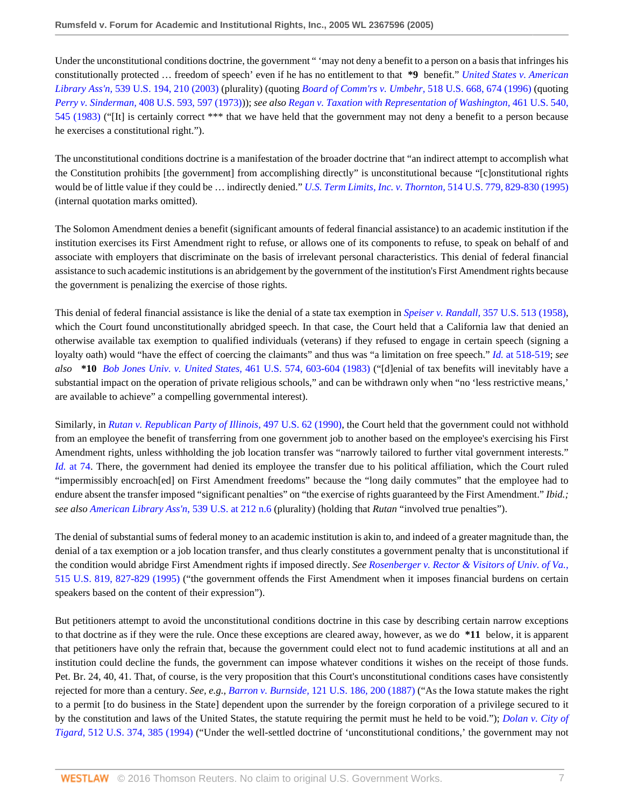Under the unconstitutional conditions doctrine, the government " 'may not deny a benefit to a person on a basis that infringes his constitutionally protected … freedom of speech' even if he has no entitlement to that **\*9** benefit." *[United States v. American](http://www.westlaw.com/Link/Document/FullText?findType=Y&serNum=2003444563&pubNum=0000780&originatingDoc=I6c8b24402f9d11dab072a248d584787d&refType=RP&fi=co_pp_sp_780_210&originationContext=document&vr=3.0&rs=cblt1.0&transitionType=DocumentItem&contextData=(sc.RelatedInfo)#co_pp_sp_780_210) Library Ass'n,* [539 U.S. 194, 210 \(2003\)](http://www.westlaw.com/Link/Document/FullText?findType=Y&serNum=2003444563&pubNum=0000780&originatingDoc=I6c8b24402f9d11dab072a248d584787d&refType=RP&fi=co_pp_sp_780_210&originationContext=document&vr=3.0&rs=cblt1.0&transitionType=DocumentItem&contextData=(sc.RelatedInfo)#co_pp_sp_780_210) (plurality) (quoting *[Board of Comm'rs v. Umbehr,](http://www.westlaw.com/Link/Document/FullText?findType=Y&serNum=1996144466&pubNum=0000780&originatingDoc=I6c8b24402f9d11dab072a248d584787d&refType=RP&fi=co_pp_sp_780_674&originationContext=document&vr=3.0&rs=cblt1.0&transitionType=DocumentItem&contextData=(sc.RelatedInfo)#co_pp_sp_780_674)* 518 U.S. 668, 674 (1996) (quoting *Perry v. Sinderman,* [408 U.S. 593, 597 \(1973\)](http://www.westlaw.com/Link/Document/FullText?findType=Y&serNum=1972127191&pubNum=0000780&originatingDoc=I6c8b24402f9d11dab072a248d584787d&refType=RP&fi=co_pp_sp_780_597&originationContext=document&vr=3.0&rs=cblt1.0&transitionType=DocumentItem&contextData=(sc.RelatedInfo)#co_pp_sp_780_597))); *see also [Regan v. Taxation with Representation of Washington,](http://www.westlaw.com/Link/Document/FullText?findType=Y&serNum=1983124085&pubNum=0000780&originatingDoc=I6c8b24402f9d11dab072a248d584787d&refType=RP&fi=co_pp_sp_780_545&originationContext=document&vr=3.0&rs=cblt1.0&transitionType=DocumentItem&contextData=(sc.RelatedInfo)#co_pp_sp_780_545)* 461 U.S. 540, [545 \(1983\)](http://www.westlaw.com/Link/Document/FullText?findType=Y&serNum=1983124085&pubNum=0000780&originatingDoc=I6c8b24402f9d11dab072a248d584787d&refType=RP&fi=co_pp_sp_780_545&originationContext=document&vr=3.0&rs=cblt1.0&transitionType=DocumentItem&contextData=(sc.RelatedInfo)#co_pp_sp_780_545) ("[It] is certainly correct \*\*\* that we have held that the government may not deny a benefit to a person because he exercises a constitutional right.").

The unconstitutional conditions doctrine is a manifestation of the broader doctrine that "an indirect attempt to accomplish what the Constitution prohibits [the government] from accomplishing directly" is unconstitutional because "[c]onstitutional rights would be of little value if they could be … indirectly denied." *[U.S. Term Limits, Inc. v. Thornton,](http://www.westlaw.com/Link/Document/FullText?findType=Y&serNum=1995112805&pubNum=0000780&originatingDoc=I6c8b24402f9d11dab072a248d584787d&refType=RP&fi=co_pp_sp_780_829&originationContext=document&vr=3.0&rs=cblt1.0&transitionType=DocumentItem&contextData=(sc.RelatedInfo)#co_pp_sp_780_829)* 514 U.S. 779, 829-830 (1995) (internal quotation marks omitted).

The Solomon Amendment denies a benefit (significant amounts of federal financial assistance) to an academic institution if the institution exercises its First Amendment right to refuse, or allows one of its components to refuse, to speak on behalf of and associate with employers that discriminate on the basis of irrelevant personal characteristics. This denial of federal financial assistance to such academic institutions is an abridgement by the government of the institution's First Amendment rights because the government is penalizing the exercise of those rights.

This denial of federal financial assistance is like the denial of a state tax exemption in *Speiser v. Randall,* [357 U.S. 513 \(1958\),](http://www.westlaw.com/Link/Document/FullText?findType=Y&serNum=1958121488&pubNum=0000780&originatingDoc=I6c8b24402f9d11dab072a248d584787d&refType=RP&originationContext=document&vr=3.0&rs=cblt1.0&transitionType=DocumentItem&contextData=(sc.RelatedInfo)) which the Court found unconstitutionally abridged speech. In that case, the Court held that a California law that denied an otherwise available tax exemption to qualified individuals (veterans) if they refused to engage in certain speech (signing a loyalty oath) would "have the effect of coercing the claimants" and thus was "a limitation on free speech." *Id.* [at 518-519;](http://www.westlaw.com/Link/Document/FullText?findType=Y&serNum=1958121488&pubNum=0000780&originatingDoc=I6c8b24402f9d11dab072a248d584787d&refType=RP&fi=co_pp_sp_780_518&originationContext=document&vr=3.0&rs=cblt1.0&transitionType=DocumentItem&contextData=(sc.RelatedInfo)#co_pp_sp_780_518) *see also* **\*10** *[Bob Jones Univ. v. United States,](http://www.westlaw.com/Link/Document/FullText?findType=Y&serNum=1983124276&pubNum=0000780&originatingDoc=I6c8b24402f9d11dab072a248d584787d&refType=RP&fi=co_pp_sp_780_603&originationContext=document&vr=3.0&rs=cblt1.0&transitionType=DocumentItem&contextData=(sc.RelatedInfo)#co_pp_sp_780_603)* 461 U.S. 574, 603-604 (1983) ("[d]enial of tax benefits will inevitably have a substantial impact on the operation of private religious schools," and can be withdrawn only when "no 'less restrictive means,' are available to achieve" a compelling governmental interest).

Similarly, in *[Rutan v. Republican Party of Illinois,](http://www.westlaw.com/Link/Document/FullText?findType=Y&serNum=1990096216&pubNum=0000780&originatingDoc=I6c8b24402f9d11dab072a248d584787d&refType=RP&originationContext=document&vr=3.0&rs=cblt1.0&transitionType=DocumentItem&contextData=(sc.RelatedInfo))* 497 U.S. 62 (1990), the Court held that the government could not withhold from an employee the benefit of transferring from one government job to another based on the employee's exercising his First Amendment rights, unless withholding the job location transfer was "narrowly tailored to further vital government interests." *Id.* [at 74.](http://www.westlaw.com/Link/Document/FullText?findType=Y&serNum=1990096216&pubNum=0000780&originatingDoc=I6c8b24402f9d11dab072a248d584787d&refType=RP&fi=co_pp_sp_780_74&originationContext=document&vr=3.0&rs=cblt1.0&transitionType=DocumentItem&contextData=(sc.RelatedInfo)#co_pp_sp_780_74) There, the government had denied its employee the transfer due to his political affiliation, which the Court ruled "impermissibly encroach[ed] on First Amendment freedoms" because the "long daily commutes" that the employee had to endure absent the transfer imposed "significant penalties" on "the exercise of rights guaranteed by the First Amendment." *Ibid.; see also [American Library Ass'n](http://www.westlaw.com/Link/Document/FullText?findType=Y&serNum=2003444563&pubNum=0000780&originatingDoc=I6c8b24402f9d11dab072a248d584787d&refType=RP&fi=co_pp_sp_780_212&originationContext=document&vr=3.0&rs=cblt1.0&transitionType=DocumentItem&contextData=(sc.RelatedInfo)#co_pp_sp_780_212)*, 539 U.S. at 212 n.6 (plurality) (holding that *Rutan* "involved true penalties").

The denial of substantial sums of federal money to an academic institution is akin to, and indeed of a greater magnitude than, the denial of a tax exemption or a job location transfer, and thus clearly constitutes a government penalty that is unconstitutional if the condition would abridge First Amendment rights if imposed directly. *See [Rosenberger v. Rector & Visitors of Univ. of Va.,](http://www.westlaw.com/Link/Document/FullText?findType=Y&serNum=1995137604&pubNum=0000780&originatingDoc=I6c8b24402f9d11dab072a248d584787d&refType=RP&fi=co_pp_sp_780_827&originationContext=document&vr=3.0&rs=cblt1.0&transitionType=DocumentItem&contextData=(sc.RelatedInfo)#co_pp_sp_780_827)* [515 U.S. 819, 827-829 \(1995\)](http://www.westlaw.com/Link/Document/FullText?findType=Y&serNum=1995137604&pubNum=0000780&originatingDoc=I6c8b24402f9d11dab072a248d584787d&refType=RP&fi=co_pp_sp_780_827&originationContext=document&vr=3.0&rs=cblt1.0&transitionType=DocumentItem&contextData=(sc.RelatedInfo)#co_pp_sp_780_827) ("the government offends the First Amendment when it imposes financial burdens on certain speakers based on the content of their expression").

But petitioners attempt to avoid the unconstitutional conditions doctrine in this case by describing certain narrow exceptions to that doctrine as if they were the rule. Once these exceptions are cleared away, however, as we do **\*11** below, it is apparent that petitioners have only the refrain that, because the government could elect not to fund academic institutions at all and an institution could decline the funds, the government can impose whatever conditions it wishes on the receipt of those funds. Pet. Br. 24, 40, 41. That, of course, is the very proposition that this Court's unconstitutional conditions cases have consistently rejected for more than a century. *See, e.g., Barron v. Burnside,* [121 U.S. 186, 200 \(1887\)](http://www.westlaw.com/Link/Document/FullText?findType=Y&serNum=1887180157&pubNum=0000780&originatingDoc=I6c8b24402f9d11dab072a248d584787d&refType=RP&fi=co_pp_sp_780_200&originationContext=document&vr=3.0&rs=cblt1.0&transitionType=DocumentItem&contextData=(sc.RelatedInfo)#co_pp_sp_780_200) ("As the Iowa statute makes the right to a permit [to do business in the State] dependent upon the surrender by the foreign corporation of a privilege secured to it by the constitution and laws of the United States, the statute requiring the permit must he held to be void."); *[Dolan v. City of](http://www.westlaw.com/Link/Document/FullText?findType=Y&serNum=1994135540&pubNum=0000780&originatingDoc=I6c8b24402f9d11dab072a248d584787d&refType=RP&fi=co_pp_sp_780_385&originationContext=document&vr=3.0&rs=cblt1.0&transitionType=DocumentItem&contextData=(sc.RelatedInfo)#co_pp_sp_780_385) Tigard,* [512 U.S. 374, 385 \(1994\)](http://www.westlaw.com/Link/Document/FullText?findType=Y&serNum=1994135540&pubNum=0000780&originatingDoc=I6c8b24402f9d11dab072a248d584787d&refType=RP&fi=co_pp_sp_780_385&originationContext=document&vr=3.0&rs=cblt1.0&transitionType=DocumentItem&contextData=(sc.RelatedInfo)#co_pp_sp_780_385) ("Under the well-settled doctrine of 'unconstitutional conditions,' the government may not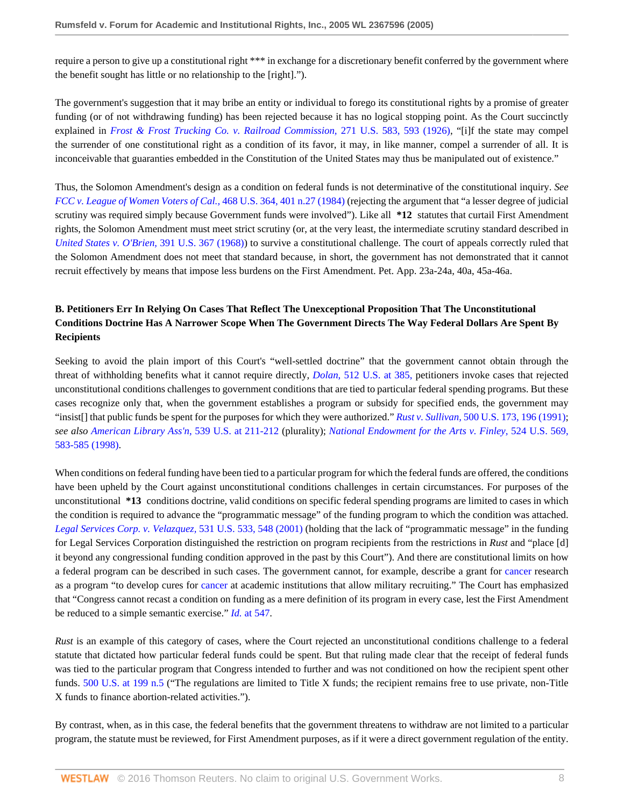require a person to give up a constitutional right \*\*\* in exchange for a discretionary benefit conferred by the government where the benefit sought has little or no relationship to the [right].").

The government's suggestion that it may bribe an entity or individual to forego its constitutional rights by a promise of greater funding (or of not withdrawing funding) has been rejected because it has no logical stopping point. As the Court succinctly explained in *[Frost & Frost Trucking Co. v. Railroad Commission,](http://www.westlaw.com/Link/Document/FullText?findType=Y&serNum=1926121884&pubNum=0000780&originatingDoc=I6c8b24402f9d11dab072a248d584787d&refType=RP&fi=co_pp_sp_780_593&originationContext=document&vr=3.0&rs=cblt1.0&transitionType=DocumentItem&contextData=(sc.RelatedInfo)#co_pp_sp_780_593)* 271 U.S. 583, 593 (1926), "[i]f the state may compel the surrender of one constitutional right as a condition of its favor, it may, in like manner, compel a surrender of all. It is inconceivable that guaranties embedded in the Constitution of the United States may thus be manipulated out of existence."

Thus, the Solomon Amendment's design as a condition on federal funds is not determinative of the constitutional inquiry. *See [FCC v. League of Women Voters of Cal.,](http://www.westlaw.com/Link/Document/FullText?findType=Y&serNum=1984132129&pubNum=0000780&originatingDoc=I6c8b24402f9d11dab072a248d584787d&refType=RP&fi=co_pp_sp_780_401&originationContext=document&vr=3.0&rs=cblt1.0&transitionType=DocumentItem&contextData=(sc.RelatedInfo)#co_pp_sp_780_401)* 468 U.S. 364, 401 n.27 (1984) (rejecting the argument that "a lesser degree of judicial scrutiny was required simply because Government funds were involved"). Like all **\*12** statutes that curtail First Amendment rights, the Solomon Amendment must meet strict scrutiny (or, at the very least, the intermediate scrutiny standard described in *[United States v. O'Brien,](http://www.westlaw.com/Link/Document/FullText?findType=Y&serNum=1968131193&pubNum=0000780&originatingDoc=I6c8b24402f9d11dab072a248d584787d&refType=RP&originationContext=document&vr=3.0&rs=cblt1.0&transitionType=DocumentItem&contextData=(sc.RelatedInfo))* 391 U.S. 367 (1968)) to survive a constitutional challenge. The court of appeals correctly ruled that the Solomon Amendment does not meet that standard because, in short, the government has not demonstrated that it cannot recruit effectively by means that impose less burdens on the First Amendment. Pet. App. 23a-24a, 40a, 45a-46a.

# **B. Petitioners Err In Relying On Cases That Reflect The Unexceptional Proposition That The Unconstitutional Conditions Doctrine Has A Narrower Scope When The Government Directs The Way Federal Dollars Are Spent By Recipients**

Seeking to avoid the plain import of this Court's "well-settled doctrine" that the government cannot obtain through the threat of withholding benefits what it cannot require directly, *Dolan*[, 512 U.S. at 385,](http://www.westlaw.com/Link/Document/FullText?findType=Y&serNum=1994135540&pubNum=780&originatingDoc=I6c8b24402f9d11dab072a248d584787d&refType=RP&fi=co_pp_sp_780_385&originationContext=document&vr=3.0&rs=cblt1.0&transitionType=DocumentItem&contextData=(sc.RelatedInfo)#co_pp_sp_780_385) petitioners invoke cases that rejected unconstitutional conditions challenges to government conditions that are tied to particular federal spending programs. But these cases recognize only that, when the government establishes a program or subsidy for specified ends, the government may "insist[] that public funds be spent for the purposes for which they were authorized." *Rust v. Sullivan,* [500 U.S. 173, 196 \(1991\)](http://www.westlaw.com/Link/Document/FullText?findType=Y&serNum=1991096316&pubNum=0000780&originatingDoc=I6c8b24402f9d11dab072a248d584787d&refType=RP&fi=co_pp_sp_780_196&originationContext=document&vr=3.0&rs=cblt1.0&transitionType=DocumentItem&contextData=(sc.RelatedInfo)#co_pp_sp_780_196); *see also [American Library Ass'n](http://www.westlaw.com/Link/Document/FullText?findType=Y&serNum=2003444563&pubNum=0000780&originatingDoc=I6c8b24402f9d11dab072a248d584787d&refType=RP&fi=co_pp_sp_780_211&originationContext=document&vr=3.0&rs=cblt1.0&transitionType=DocumentItem&contextData=(sc.RelatedInfo)#co_pp_sp_780_211)*, 539 U.S. at 211-212 (plurality); *[National Endowment for the Arts v. Finley,](http://www.westlaw.com/Link/Document/FullText?findType=Y&serNum=1998132146&pubNum=0000780&originatingDoc=I6c8b24402f9d11dab072a248d584787d&refType=RP&fi=co_pp_sp_780_583&originationContext=document&vr=3.0&rs=cblt1.0&transitionType=DocumentItem&contextData=(sc.RelatedInfo)#co_pp_sp_780_583)* 524 U.S. 569, [583-585 \(1998\)](http://www.westlaw.com/Link/Document/FullText?findType=Y&serNum=1998132146&pubNum=0000780&originatingDoc=I6c8b24402f9d11dab072a248d584787d&refType=RP&fi=co_pp_sp_780_583&originationContext=document&vr=3.0&rs=cblt1.0&transitionType=DocumentItem&contextData=(sc.RelatedInfo)#co_pp_sp_780_583).

When conditions on federal funding have been tied to a particular program for which the federal funds are offered, the conditions have been upheld by the Court against unconstitutional conditions challenges in certain circumstances. For purposes of the unconstitutional **\*13** conditions doctrine, valid conditions on specific federal spending programs are limited to cases in which the condition is required to advance the "programmatic message" of the funding program to which the condition was attached. *[Legal Services Corp. v. Velazquez,](http://www.westlaw.com/Link/Document/FullText?findType=Y&serNum=2001180027&pubNum=0000780&originatingDoc=I6c8b24402f9d11dab072a248d584787d&refType=RP&fi=co_pp_sp_780_548&originationContext=document&vr=3.0&rs=cblt1.0&transitionType=DocumentItem&contextData=(sc.RelatedInfo)#co_pp_sp_780_548)* 531 U.S. 533, 548 (2001) (holding that the lack of "programmatic message" in the funding for Legal Services Corporation distinguished the restriction on program recipients from the restrictions in *Rust* and "place [d] it beyond any congressional funding condition approved in the past by this Court"). And there are constitutional limits on how a federal program can be described in such cases. The government cannot, for example, describe a grant for [cancer](http://www.westlaw.com/Link/Document/FullText?entityType=disease&entityId=Iaf34f5c3475411db9765f9243f53508a&originationContext=document&transitionType=DocumentItem&contextData=(sc.Default)&vr=3.0&rs=cblt1.0) research as a program "to develop cures for [cancer](http://www.westlaw.com/Link/Document/FullText?entityType=disease&entityId=Iaf34f5c3475411db9765f9243f53508a&originationContext=document&transitionType=DocumentItem&contextData=(sc.Default)&vr=3.0&rs=cblt1.0) at academic institutions that allow military recruiting." The Court has emphasized that "Congress cannot recast a condition on funding as a mere definition of its program in every case, lest the First Amendment be reduced to a simple semantic exercise." *Id.* [at 547.](http://www.westlaw.com/Link/Document/FullText?findType=Y&serNum=2001180027&pubNum=0000780&originatingDoc=I6c8b24402f9d11dab072a248d584787d&refType=RP&fi=co_pp_sp_780_547&originationContext=document&vr=3.0&rs=cblt1.0&transitionType=DocumentItem&contextData=(sc.RelatedInfo)#co_pp_sp_780_547)

*Rust* is an example of this category of cases, where the Court rejected an unconstitutional conditions challenge to a federal statute that dictated how particular federal funds could be spent. But that ruling made clear that the receipt of federal funds was tied to the particular program that Congress intended to further and was not conditioned on how the recipient spent other funds. [500 U.S. at 199 n.5](http://www.westlaw.com/Link/Document/FullText?findType=Y&serNum=1991096316&pubNum=0000780&originatingDoc=I6c8b24402f9d11dab072a248d584787d&refType=RP&fi=co_pp_sp_780_199&originationContext=document&vr=3.0&rs=cblt1.0&transitionType=DocumentItem&contextData=(sc.RelatedInfo)#co_pp_sp_780_199) ("The regulations are limited to Title X funds; the recipient remains free to use private, non-Title X funds to finance abortion-related activities.").

By contrast, when, as in this case, the federal benefits that the government threatens to withdraw are not limited to a particular program, the statute must be reviewed, for First Amendment purposes, as if it were a direct government regulation of the entity.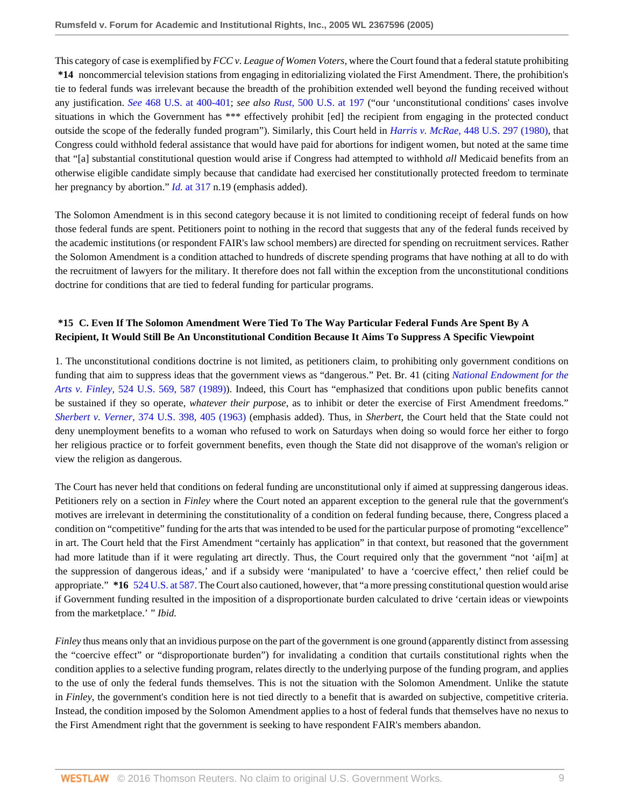This category of case is exemplified by *FCC v. League of Women Voters,* where the Court found that a federal statute prohibiting **\*14** noncommercial television stations from engaging in editorializing violated the First Amendment. There, the prohibition's tie to federal funds was irrelevant because the breadth of the prohibition extended well beyond the funding received without any justification. *See* [468 U.S. at 400-401](http://www.westlaw.com/Link/Document/FullText?findType=Y&serNum=1984132129&pubNum=0000780&originatingDoc=I6c8b24402f9d11dab072a248d584787d&refType=RP&fi=co_pp_sp_780_400&originationContext=document&vr=3.0&rs=cblt1.0&transitionType=DocumentItem&contextData=(sc.RelatedInfo)#co_pp_sp_780_400); *see also Rust*[, 500 U.S. at 197](http://www.westlaw.com/Link/Document/FullText?findType=Y&serNum=1991096316&pubNum=0000780&originatingDoc=I6c8b24402f9d11dab072a248d584787d&refType=RP&fi=co_pp_sp_780_197&originationContext=document&vr=3.0&rs=cblt1.0&transitionType=DocumentItem&contextData=(sc.RelatedInfo)#co_pp_sp_780_197) ("our 'unconstitutional conditions' cases involve situations in which the Government has \*\*\* effectively prohibit [ed] the recipient from engaging in the protected conduct outside the scope of the federally funded program"). Similarly, this Court held in *Harris v. McRae,* [448 U.S. 297 \(1980\),](http://www.westlaw.com/Link/Document/FullText?findType=Y&serNum=1980116807&pubNum=0000780&originatingDoc=I6c8b24402f9d11dab072a248d584787d&refType=RP&originationContext=document&vr=3.0&rs=cblt1.0&transitionType=DocumentItem&contextData=(sc.RelatedInfo)) that Congress could withhold federal assistance that would have paid for abortions for indigent women, but noted at the same time that "[a] substantial constitutional question would arise if Congress had attempted to withhold *all* Medicaid benefits from an otherwise eligible candidate simply because that candidate had exercised her constitutionally protected freedom to terminate her pregnancy by abortion." *Id.* [at 317](http://www.westlaw.com/Link/Document/FullText?findType=Y&serNum=1980116807&pubNum=0000780&originatingDoc=I6c8b24402f9d11dab072a248d584787d&refType=RP&fi=co_pp_sp_780_317&originationContext=document&vr=3.0&rs=cblt1.0&transitionType=DocumentItem&contextData=(sc.RelatedInfo)#co_pp_sp_780_317) n.19 (emphasis added).

The Solomon Amendment is in this second category because it is not limited to conditioning receipt of federal funds on how those federal funds are spent. Petitioners point to nothing in the record that suggests that any of the federal funds received by the academic institutions (or respondent FAIR's law school members) are directed for spending on recruitment services. Rather the Solomon Amendment is a condition attached to hundreds of discrete spending programs that have nothing at all to do with the recruitment of lawyers for the military. It therefore does not fall within the exception from the unconstitutional conditions doctrine for conditions that are tied to federal funding for particular programs.

# **\*15 C. Even If The Solomon Amendment Were Tied To The Way Particular Federal Funds Are Spent By A Recipient, It Would Still Be An Unconstitutional Condition Because It Aims To Suppress A Specific Viewpoint**

1. The unconstitutional conditions doctrine is not limited, as petitioners claim, to prohibiting only government conditions on funding that aim to suppress ideas that the government views as "dangerous." Pet. Br. 41 (citing *[National Endowment for the](http://www.westlaw.com/Link/Document/FullText?findType=Y&serNum=1998132146&pubNum=0000780&originatingDoc=I6c8b24402f9d11dab072a248d584787d&refType=RP&fi=co_pp_sp_780_587&originationContext=document&vr=3.0&rs=cblt1.0&transitionType=DocumentItem&contextData=(sc.RelatedInfo)#co_pp_sp_780_587) Arts v. Finley,* [524 U.S. 569, 587 \(1989\)\)](http://www.westlaw.com/Link/Document/FullText?findType=Y&serNum=1998132146&pubNum=0000780&originatingDoc=I6c8b24402f9d11dab072a248d584787d&refType=RP&fi=co_pp_sp_780_587&originationContext=document&vr=3.0&rs=cblt1.0&transitionType=DocumentItem&contextData=(sc.RelatedInfo)#co_pp_sp_780_587). Indeed, this Court has "emphasized that conditions upon public benefits cannot be sustained if they so operate, *whatever their purpose*, as to inhibit or deter the exercise of First Amendment freedoms." *Sherbert v. Verner,* [374 U.S. 398, 405 \(1963\)](http://www.westlaw.com/Link/Document/FullText?findType=Y&serNum=1963125396&pubNum=0000780&originatingDoc=I6c8b24402f9d11dab072a248d584787d&refType=RP&fi=co_pp_sp_780_405&originationContext=document&vr=3.0&rs=cblt1.0&transitionType=DocumentItem&contextData=(sc.RelatedInfo)#co_pp_sp_780_405) (emphasis added). Thus, in *Sherbert*, the Court held that the State could not deny unemployment benefits to a woman who refused to work on Saturdays when doing so would force her either to forgo her religious practice or to forfeit government benefits, even though the State did not disapprove of the woman's religion or view the religion as dangerous.

The Court has never held that conditions on federal funding are unconstitutional only if aimed at suppressing dangerous ideas. Petitioners rely on a section in *Finley* where the Court noted an apparent exception to the general rule that the government's motives are irrelevant in determining the constitutionality of a condition on federal funding because, there, Congress placed a condition on "competitive" funding for the arts that was intended to be used for the particular purpose of promoting "excellence" in art. The Court held that the First Amendment "certainly has application" in that context, but reasoned that the government had more latitude than if it were regulating art directly. Thus, the Court required only that the government "not 'ai[m] at the suppression of dangerous ideas,' and if a subsidy were 'manipulated' to have a 'coercive effect,' then relief could be appropriate." **\*16** [524 U.S. at 587.](http://www.westlaw.com/Link/Document/FullText?findType=Y&serNum=1998132146&pubNum=780&originatingDoc=I6c8b24402f9d11dab072a248d584787d&refType=RP&fi=co_pp_sp_780_587&originationContext=document&vr=3.0&rs=cblt1.0&transitionType=DocumentItem&contextData=(sc.RelatedInfo)#co_pp_sp_780_587) The Court also cautioned, however, that "a more pressing constitutional question would arise if Government funding resulted in the imposition of a disproportionate burden calculated to drive 'certain ideas or viewpoints from the marketplace.' " *Ibid.*

*Finley* thus means only that an invidious purpose on the part of the government is one ground (apparently distinct from assessing the "coercive effect" or "disproportionate burden") for invalidating a condition that curtails constitutional rights when the condition applies to a selective funding program, relates directly to the underlying purpose of the funding program, and applies to the use of only the federal funds themselves. This is not the situation with the Solomon Amendment. Unlike the statute in *Finley*, the government's condition here is not tied directly to a benefit that is awarded on subjective, competitive criteria. Instead, the condition imposed by the Solomon Amendment applies to a host of federal funds that themselves have no nexus to the First Amendment right that the government is seeking to have respondent FAIR's members abandon.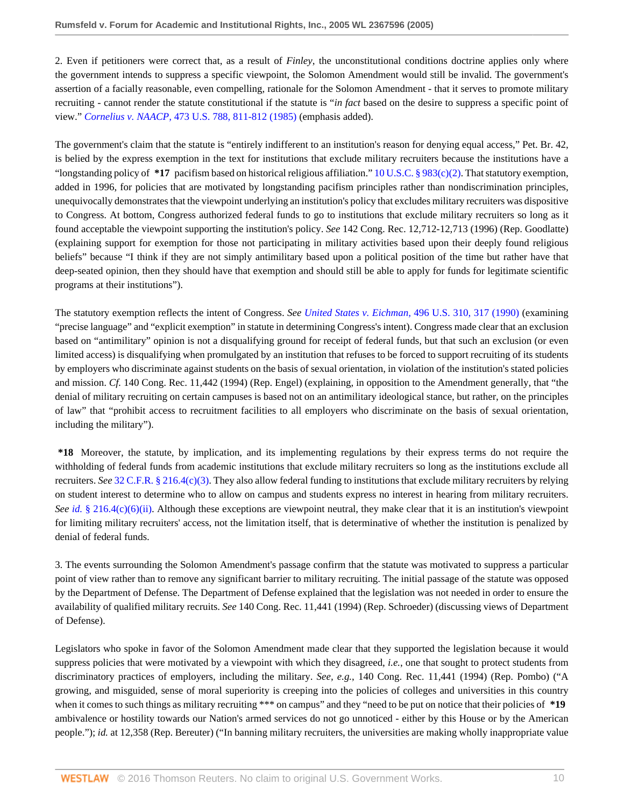2. Even if petitioners were correct that, as a result of *Finley*, the unconstitutional conditions doctrine applies only where the government intends to suppress a specific viewpoint, the Solomon Amendment would still be invalid. The government's assertion of a facially reasonable, even compelling, rationale for the Solomon Amendment - that it serves to promote military recruiting - cannot render the statute constitutional if the statute is "*in fact* based on the desire to suppress a specific point of view." *Cornelius v. NAACP,* [473 U.S. 788, 811-812 \(1985\)](http://www.westlaw.com/Link/Document/FullText?findType=Y&serNum=1985133738&pubNum=0000780&originatingDoc=I6c8b24402f9d11dab072a248d584787d&refType=RP&fi=co_pp_sp_780_811&originationContext=document&vr=3.0&rs=cblt1.0&transitionType=DocumentItem&contextData=(sc.RelatedInfo)#co_pp_sp_780_811) (emphasis added).

The government's claim that the statute is "entirely indifferent to an institution's reason for denying equal access," Pet. Br. 42, is belied by the express exemption in the text for institutions that exclude military recruiters because the institutions have a "longstanding policy of **\*17** pacifism based on historical religious affiliation." [10 U.S.C. § 983\(c\)\(2\)](http://www.westlaw.com/Link/Document/FullText?findType=L&pubNum=1000546&cite=10USCAS983&originatingDoc=I6c8b24402f9d11dab072a248d584787d&refType=RB&originationContext=document&vr=3.0&rs=cblt1.0&transitionType=DocumentItem&contextData=(sc.RelatedInfo)#co_pp_fcf30000ea9c4). That statutory exemption, added in 1996, for policies that are motivated by longstanding pacifism principles rather than nondiscrimination principles, unequivocally demonstrates that the viewpoint underlying an institution's policy that excludes military recruiters was dispositive to Congress. At bottom, Congress authorized federal funds to go to institutions that exclude military recruiters so long as it found acceptable the viewpoint supporting the institution's policy. *See* 142 Cong. Rec. 12,712-12,713 (1996) (Rep. Goodlatte) (explaining support for exemption for those not participating in military activities based upon their deeply found religious beliefs" because "I think if they are not simply antimilitary based upon a political position of the time but rather have that deep-seated opinion, then they should have that exemption and should still be able to apply for funds for legitimate scientific programs at their institutions").

The statutory exemption reflects the intent of Congress. *See United States v. Eichman,* [496 U.S. 310, 317 \(1990\)](http://www.westlaw.com/Link/Document/FullText?findType=Y&serNum=1990090452&pubNum=0000780&originatingDoc=I6c8b24402f9d11dab072a248d584787d&refType=RP&fi=co_pp_sp_780_317&originationContext=document&vr=3.0&rs=cblt1.0&transitionType=DocumentItem&contextData=(sc.RelatedInfo)#co_pp_sp_780_317) (examining "precise language" and "explicit exemption" in statute in determining Congress's intent). Congress made clear that an exclusion based on "antimilitary" opinion is not a disqualifying ground for receipt of federal funds, but that such an exclusion (or even limited access) is disqualifying when promulgated by an institution that refuses to be forced to support recruiting of its students by employers who discriminate against students on the basis of sexual orientation, in violation of the institution's stated policies and mission. *Cf.* 140 Cong. Rec. 11,442 (1994) (Rep. Engel) (explaining, in opposition to the Amendment generally, that "the denial of military recruiting on certain campuses is based not on an antimilitary ideological stance, but rather, on the principles of law" that "prohibit access to recruitment facilities to all employers who discriminate on the basis of sexual orientation, including the military").

**\*18** Moreover, the statute, by implication, and its implementing regulations by their express terms do not require the withholding of federal funds from academic institutions that exclude military recruiters so long as the institutions exclude all recruiters. *See* [32 C.F.R. § 216.4\(c\)\(3\)](http://www.westlaw.com/Link/Document/FullText?findType=L&pubNum=1000547&cite=32CFRS216.4&originatingDoc=I6c8b24402f9d11dab072a248d584787d&refType=RB&originationContext=document&vr=3.0&rs=cblt1.0&transitionType=DocumentItem&contextData=(sc.RelatedInfo)#co_pp_4b24000003ba5). They also allow federal funding to institutions that exclude military recruiters by relying on student interest to determine who to allow on campus and students express no interest in hearing from military recruiters. *See id.* [§ 216.4\(c\)\(6\)\(ii\).](http://www.westlaw.com/Link/Document/FullText?findType=L&pubNum=1000547&cite=32CFRS216.4&originatingDoc=I6c8b24402f9d11dab072a248d584787d&refType=RB&originationContext=document&vr=3.0&rs=cblt1.0&transitionType=DocumentItem&contextData=(sc.RelatedInfo)#co_pp_4b24000003ba5) Although these exceptions are viewpoint neutral, they make clear that it is an institution's viewpoint for limiting military recruiters' access, not the limitation itself, that is determinative of whether the institution is penalized by denial of federal funds.

3. The events surrounding the Solomon Amendment's passage confirm that the statute was motivated to suppress a particular point of view rather than to remove any significant barrier to military recruiting. The initial passage of the statute was opposed by the Department of Defense. The Department of Defense explained that the legislation was not needed in order to ensure the availability of qualified military recruits. *See* 140 Cong. Rec. 11,441 (1994) (Rep. Schroeder) (discussing views of Department of Defense).

Legislators who spoke in favor of the Solomon Amendment made clear that they supported the legislation because it would suppress policies that were motivated by a viewpoint with which they disagreed, *i.e.*, one that sought to protect students from discriminatory practices of employers, including the military. *See, e.g.*, 140 Cong. Rec. 11,441 (1994) (Rep. Pombo) ("A growing, and misguided, sense of moral superiority is creeping into the policies of colleges and universities in this country when it comes to such things as military recruiting \*\*\* on campus" and they "need to be put on notice that their policies of **\*19** ambivalence or hostility towards our Nation's armed services do not go unnoticed - either by this House or by the American people."); *id.* at 12,358 (Rep. Bereuter) ("In banning military recruiters, the universities are making wholly inappropriate value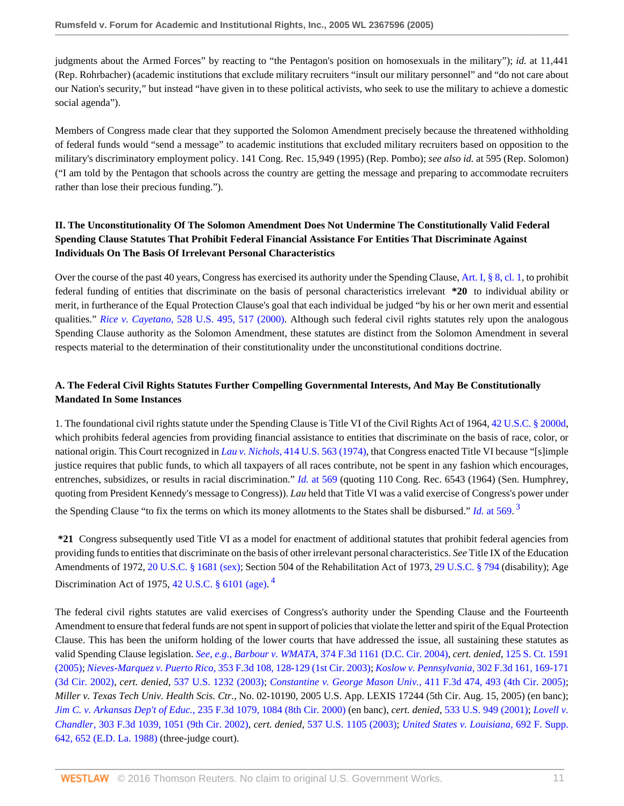judgments about the Armed Forces" by reacting to "the Pentagon's position on homosexuals in the military"); *id.* at 11,441 (Rep. Rohrbacher) (academic institutions that exclude military recruiters "insult our military personnel" and "do not care about our Nation's security," but instead "have given in to these political activists, who seek to use the military to achieve a domestic social agenda").

Members of Congress made clear that they supported the Solomon Amendment precisely because the threatened withholding of federal funds would "send a message" to academic institutions that excluded military recruiters based on opposition to the military's discriminatory employment policy. 141 Cong. Rec. 15,949 (1995) (Rep. Pombo); *see also id.* at 595 (Rep. Solomon) ("I am told by the Pentagon that schools across the country are getting the message and preparing to accommodate recruiters rather than lose their precious funding.").

# **II. The Unconstitutionality Of The Solomon Amendment Does Not Undermine The Constitutionally Valid Federal Spending Clause Statutes That Prohibit Federal Financial Assistance For Entities That Discriminate Against Individuals On The Basis Of Irrelevant Personal Characteristics**

Over the course of the past 40 years, Congress has exercised its authority under the Spending Clause, [Art. I, § 8, cl. 1](http://www.westlaw.com/Link/Document/FullText?findType=L&pubNum=1000546&cite=USCOARTIS8CL1&originatingDoc=I6c8b24402f9d11dab072a248d584787d&refType=LQ&originationContext=document&vr=3.0&rs=cblt1.0&transitionType=DocumentItem&contextData=(sc.RelatedInfo)), to prohibit federal funding of entities that discriminate on the basis of personal characteristics irrelevant **\*20** to individual ability or merit, in furtherance of the Equal Protection Clause's goal that each individual be judged "by his or her own merit and essential qualities." *Rice v. Cayetano,* [528 U.S. 495, 517 \(2000\)](http://www.westlaw.com/Link/Document/FullText?findType=Y&serNum=2000060016&pubNum=0000780&originatingDoc=I6c8b24402f9d11dab072a248d584787d&refType=RP&fi=co_pp_sp_780_517&originationContext=document&vr=3.0&rs=cblt1.0&transitionType=DocumentItem&contextData=(sc.RelatedInfo)#co_pp_sp_780_517). Although such federal civil rights statutes rely upon the analogous Spending Clause authority as the Solomon Amendment, these statutes are distinct from the Solomon Amendment in several respects material to the determination of their constitutionality under the unconstitutional conditions doctrine.

# **A. The Federal Civil Rights Statutes Further Compelling Governmental Interests, And May Be Constitutionally Mandated In Some Instances**

1. The foundational civil rights statute under the Spending Clause is Title VI of the Civil Rights Act of 1964, [42 U.S.C. § 2000d,](http://www.westlaw.com/Link/Document/FullText?findType=L&pubNum=1000546&cite=42USCAS2000D&originatingDoc=I6c8b24402f9d11dab072a248d584787d&refType=LQ&originationContext=document&vr=3.0&rs=cblt1.0&transitionType=DocumentItem&contextData=(sc.RelatedInfo)) which prohibits federal agencies from providing financial assistance to entities that discriminate on the basis of race, color, or national origin. This Court recognized in *Lau v. Nichols,* [414 U.S. 563 \(1974\)](http://www.westlaw.com/Link/Document/FullText?findType=Y&serNum=1974127117&pubNum=0000780&originatingDoc=I6c8b24402f9d11dab072a248d584787d&refType=RP&originationContext=document&vr=3.0&rs=cblt1.0&transitionType=DocumentItem&contextData=(sc.RelatedInfo)), that Congress enacted Title VI because "[s]imple justice requires that public funds, to which all taxpayers of all races contribute, not be spent in any fashion which encourages, entrenches, subsidizes, or results in racial discrimination." *Id.* [at 569](http://www.westlaw.com/Link/Document/FullText?findType=Y&serNum=1974127117&pubNum=0000780&originatingDoc=I6c8b24402f9d11dab072a248d584787d&refType=RP&fi=co_pp_sp_780_569&originationContext=document&vr=3.0&rs=cblt1.0&transitionType=DocumentItem&contextData=(sc.RelatedInfo)#co_pp_sp_780_569) (quoting 110 Cong. Rec. 6543 (1964) (Sen. Humphrey, quoting from President Kennedy's message to Congress)). *Lau* held that Title VI was a valid exercise of Congress's power under the Spending Clause "to fix the terms on which its money allotments to the States shall be disbursed." *Id.* [at 569](http://www.westlaw.com/Link/Document/FullText?findType=Y&serNum=1974127117&pubNum=0000780&originatingDoc=I6c8b24402f9d11dab072a248d584787d&refType=RP&fi=co_pp_sp_780_569&originationContext=document&vr=3.0&rs=cblt1.0&transitionType=DocumentItem&contextData=(sc.RelatedInfo)#co_pp_sp_780_569). [3](#page-14-2)

<span id="page-10-0"></span>**\*21** Congress subsequently used Title VI as a model for enactment of additional statutes that prohibit federal agencies from providing funds to entities that discriminate on the basis of other irrelevant personal characteristics. *See* Title IX of the Education Amendments of 1972, [20 U.S.C. § 1681 \(sex\);](http://www.westlaw.com/Link/Document/FullText?findType=L&pubNum=1000546&cite=20USCAS1681&originatingDoc=I6c8b24402f9d11dab072a248d584787d&refType=LQ&originationContext=document&vr=3.0&rs=cblt1.0&transitionType=DocumentItem&contextData=(sc.RelatedInfo)) Section 504 of the Rehabilitation Act of 1973, [29 U.S.C. § 794](http://www.westlaw.com/Link/Document/FullText?findType=L&pubNum=1000546&cite=29USCAS794&originatingDoc=I6c8b24402f9d11dab072a248d584787d&refType=LQ&originationContext=document&vr=3.0&rs=cblt1.0&transitionType=DocumentItem&contextData=(sc.RelatedInfo)) (disability); Age Discrimination Act of 1975,  $42$  $42$  U.S.C.  $\S$  6101 (age).<sup>4</sup>

<span id="page-10-1"></span>The federal civil rights statutes are valid exercises of Congress's authority under the Spending Clause and the Fourteenth Amendment to ensure that federal funds are not spent in support of policies that violate the letter and spirit of the Equal Protection Clause. This has been the uniform holding of the lower courts that have addressed the issue, all sustaining these statutes as valid Spending Clause legislation. *See, e.g., Barbour v. WMATA,* [374 F.3d 1161 \(D.C. Cir. 2004\),](http://www.westlaw.com/Link/Document/FullText?findType=Y&serNum=2004646968&pubNum=0000506&originatingDoc=I6c8b24402f9d11dab072a248d584787d&refType=RP&originationContext=document&vr=3.0&rs=cblt1.0&transitionType=DocumentItem&contextData=(sc.RelatedInfo)) *cert. denied*, [125 S. Ct. 1591](http://www.westlaw.com/Link/Document/FullText?findType=Y&serNum=2005683236&pubNum=0000708&originatingDoc=I6c8b24402f9d11dab072a248d584787d&refType=RP&originationContext=document&vr=3.0&rs=cblt1.0&transitionType=DocumentItem&contextData=(sc.RelatedInfo)) [\(2005\);](http://www.westlaw.com/Link/Document/FullText?findType=Y&serNum=2005683236&pubNum=0000708&originatingDoc=I6c8b24402f9d11dab072a248d584787d&refType=RP&originationContext=document&vr=3.0&rs=cblt1.0&transitionType=DocumentItem&contextData=(sc.RelatedInfo)) *Nieves-Marquez v. Puerto Rico,* [353 F.3d 108, 128-129 \(1st Cir. 2003\);](http://www.westlaw.com/Link/Document/FullText?findType=Y&serNum=2003944274&pubNum=0000506&originatingDoc=I6c8b24402f9d11dab072a248d584787d&refType=RP&fi=co_pp_sp_506_128&originationContext=document&vr=3.0&rs=cblt1.0&transitionType=DocumentItem&contextData=(sc.RelatedInfo)#co_pp_sp_506_128) *[Koslow v. Pennsylvania,](http://www.westlaw.com/Link/Document/FullText?findType=Y&serNum=2002533929&pubNum=0000506&originatingDoc=I6c8b24402f9d11dab072a248d584787d&refType=RP&fi=co_pp_sp_506_169&originationContext=document&vr=3.0&rs=cblt1.0&transitionType=DocumentItem&contextData=(sc.RelatedInfo)#co_pp_sp_506_169)* 302 F.3d 161, 169-171 [\(3d Cir. 2002\),](http://www.westlaw.com/Link/Document/FullText?findType=Y&serNum=2002533929&pubNum=0000506&originatingDoc=I6c8b24402f9d11dab072a248d584787d&refType=RP&fi=co_pp_sp_506_169&originationContext=document&vr=3.0&rs=cblt1.0&transitionType=DocumentItem&contextData=(sc.RelatedInfo)#co_pp_sp_506_169) *cert. denied*, [537 U.S. 1232 \(2003\)](http://www.westlaw.com/Link/Document/FullText?findType=Y&serNum=2002761347&pubNum=0000780&originatingDoc=I6c8b24402f9d11dab072a248d584787d&refType=RP&originationContext=document&vr=3.0&rs=cblt1.0&transitionType=DocumentItem&contextData=(sc.RelatedInfo)); *[Constantine v. George Mason Univ.,](http://www.westlaw.com/Link/Document/FullText?findType=Y&serNum=2006792459&pubNum=0000506&originatingDoc=I6c8b24402f9d11dab072a248d584787d&refType=RP&fi=co_pp_sp_506_493&originationContext=document&vr=3.0&rs=cblt1.0&transitionType=DocumentItem&contextData=(sc.RelatedInfo)#co_pp_sp_506_493)* 411 F.3d 474, 493 (4th Cir. 2005); *Miller v. Texas Tech Univ. Health Scis. Ctr.,* No. 02-10190, 2005 U.S. App. LEXIS 17244 (5th Cir. Aug. 15, 2005) (en banc); *Jim C. v. Arkansas Dep't of Educ.,* [235 F.3d 1079, 1084 \(8th Cir. 2000\)](http://www.westlaw.com/Link/Document/FullText?findType=Y&serNum=2000655194&pubNum=0000506&originatingDoc=I6c8b24402f9d11dab072a248d584787d&refType=RP&fi=co_pp_sp_506_1084&originationContext=document&vr=3.0&rs=cblt1.0&transitionType=DocumentItem&contextData=(sc.RelatedInfo)#co_pp_sp_506_1084) (en banc), *cert. denied*, [533 U.S. 949 \(2001\)](http://www.westlaw.com/Link/Document/FullText?findType=Y&serNum=2001271691&pubNum=0000780&originatingDoc=I6c8b24402f9d11dab072a248d584787d&refType=RP&originationContext=document&vr=3.0&rs=cblt1.0&transitionType=DocumentItem&contextData=(sc.RelatedInfo)); *[Lovell v.](http://www.westlaw.com/Link/Document/FullText?findType=Y&serNum=2002563761&pubNum=0000506&originatingDoc=I6c8b24402f9d11dab072a248d584787d&refType=RP&fi=co_pp_sp_506_1051&originationContext=document&vr=3.0&rs=cblt1.0&transitionType=DocumentItem&contextData=(sc.RelatedInfo)#co_pp_sp_506_1051) Chandler,* [303 F.3d 1039, 1051 \(9th Cir. 2002\),](http://www.westlaw.com/Link/Document/FullText?findType=Y&serNum=2002563761&pubNum=0000506&originatingDoc=I6c8b24402f9d11dab072a248d584787d&refType=RP&fi=co_pp_sp_506_1051&originationContext=document&vr=3.0&rs=cblt1.0&transitionType=DocumentItem&contextData=(sc.RelatedInfo)#co_pp_sp_506_1051) *cert. denied*, [537 U.S. 1105 \(2003\)](http://www.westlaw.com/Link/Document/FullText?findType=Y&serNum=2002651764&pubNum=0000780&originatingDoc=I6c8b24402f9d11dab072a248d584787d&refType=RP&originationContext=document&vr=3.0&rs=cblt1.0&transitionType=DocumentItem&contextData=(sc.RelatedInfo)); *[United States v. Louisiana,](http://www.westlaw.com/Link/Document/FullText?findType=Y&serNum=1988100393&pubNum=0000345&originatingDoc=I6c8b24402f9d11dab072a248d584787d&refType=RP&fi=co_pp_sp_345_652&originationContext=document&vr=3.0&rs=cblt1.0&transitionType=DocumentItem&contextData=(sc.RelatedInfo)#co_pp_sp_345_652)* 692 F. Supp. [642, 652 \(E.D. La. 1988\)](http://www.westlaw.com/Link/Document/FullText?findType=Y&serNum=1988100393&pubNum=0000345&originatingDoc=I6c8b24402f9d11dab072a248d584787d&refType=RP&fi=co_pp_sp_345_652&originationContext=document&vr=3.0&rs=cblt1.0&transitionType=DocumentItem&contextData=(sc.RelatedInfo)#co_pp_sp_345_652) (three-judge court).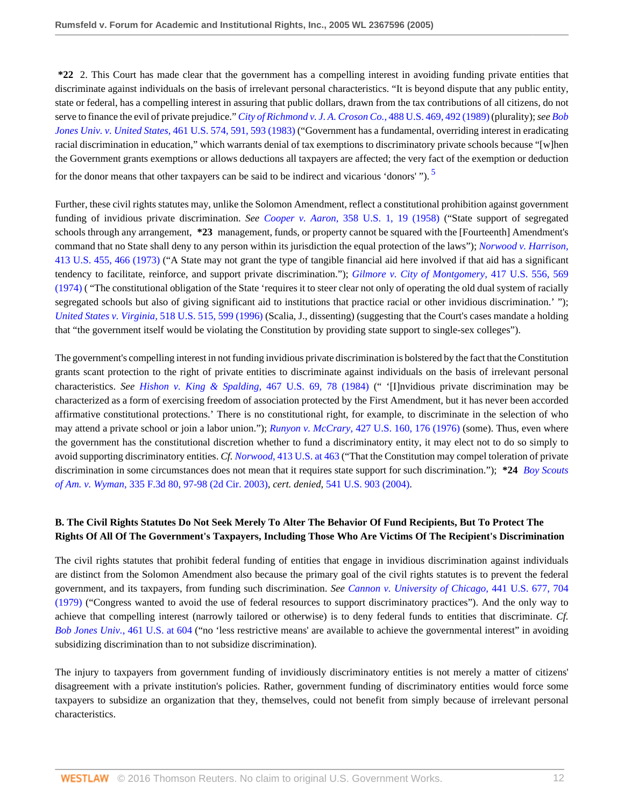**\*22** 2. This Court has made clear that the government has a compelling interest in avoiding funding private entities that discriminate against individuals on the basis of irrelevant personal characteristics. "It is beyond dispute that any public entity, state or federal, has a compelling interest in assuring that public dollars, drawn from the tax contributions of all citizens, do not serve to finance the evil of private prejudice." *[City of Richmond v. J. A. Croson Co.,](http://www.westlaw.com/Link/Document/FullText?findType=Y&serNum=1989012998&pubNum=0000780&originatingDoc=I6c8b24402f9d11dab072a248d584787d&refType=RP&fi=co_pp_sp_780_492&originationContext=document&vr=3.0&rs=cblt1.0&transitionType=DocumentItem&contextData=(sc.RelatedInfo)#co_pp_sp_780_492)* 488 U.S. 469, 492 (1989) (plurality); *see [Bob](http://www.westlaw.com/Link/Document/FullText?findType=Y&serNum=1983124276&pubNum=0000780&originatingDoc=I6c8b24402f9d11dab072a248d584787d&refType=RP&fi=co_pp_sp_780_591&originationContext=document&vr=3.0&rs=cblt1.0&transitionType=DocumentItem&contextData=(sc.RelatedInfo)#co_pp_sp_780_591) Jones Univ. v. United States,* [461 U.S. 574, 591, 593 \(1983\)](http://www.westlaw.com/Link/Document/FullText?findType=Y&serNum=1983124276&pubNum=0000780&originatingDoc=I6c8b24402f9d11dab072a248d584787d&refType=RP&fi=co_pp_sp_780_591&originationContext=document&vr=3.0&rs=cblt1.0&transitionType=DocumentItem&contextData=(sc.RelatedInfo)#co_pp_sp_780_591) ("Government has a fundamental, overriding interest in eradicating racial discrimination in education," which warrants denial of tax exemptions to discriminatory private schools because "[w]hen the Government grants exemptions or allows deductions all taxpayers are affected; the very fact of the exemption or deduction for the donor means that other taxpayers can be said to be indirect and vicarious 'donors'").  $\frac{5}{2}$  $\frac{5}{2}$  $\frac{5}{2}$ 

<span id="page-11-0"></span>Further, these civil rights statutes may, unlike the Solomon Amendment, reflect a constitutional prohibition against government funding of invidious private discrimination. *See Cooper v. Aaron,* [358 U.S. 1, 19 \(1958\)](http://www.westlaw.com/Link/Document/FullText?findType=Y&serNum=1958101036&pubNum=0000780&originatingDoc=I6c8b24402f9d11dab072a248d584787d&refType=RP&fi=co_pp_sp_780_19&originationContext=document&vr=3.0&rs=cblt1.0&transitionType=DocumentItem&contextData=(sc.RelatedInfo)#co_pp_sp_780_19) ("State support of segregated schools through any arrangement, **\*23** management, funds, or property cannot be squared with the [Fourteenth] Amendment's command that no State shall deny to any person within its jurisdiction the equal protection of the laws"); *[Norwood v. Harrison,](http://www.westlaw.com/Link/Document/FullText?findType=Y&serNum=1973126448&pubNum=0000780&originatingDoc=I6c8b24402f9d11dab072a248d584787d&refType=RP&fi=co_pp_sp_780_466&originationContext=document&vr=3.0&rs=cblt1.0&transitionType=DocumentItem&contextData=(sc.RelatedInfo)#co_pp_sp_780_466)* [413 U.S. 455, 466 \(1973\)](http://www.westlaw.com/Link/Document/FullText?findType=Y&serNum=1973126448&pubNum=0000780&originatingDoc=I6c8b24402f9d11dab072a248d584787d&refType=RP&fi=co_pp_sp_780_466&originationContext=document&vr=3.0&rs=cblt1.0&transitionType=DocumentItem&contextData=(sc.RelatedInfo)#co_pp_sp_780_466) ("A State may not grant the type of tangible financial aid here involved if that aid has a significant tendency to facilitate, reinforce, and support private discrimination."); *[Gilmore v. City of Montgomery,](http://www.westlaw.com/Link/Document/FullText?findType=Y&serNum=1974127214&pubNum=0000780&originatingDoc=I6c8b24402f9d11dab072a248d584787d&refType=RP&fi=co_pp_sp_780_569&originationContext=document&vr=3.0&rs=cblt1.0&transitionType=DocumentItem&contextData=(sc.RelatedInfo)#co_pp_sp_780_569)* 417 U.S. 556, 569 [\(1974\)](http://www.westlaw.com/Link/Document/FullText?findType=Y&serNum=1974127214&pubNum=0000780&originatingDoc=I6c8b24402f9d11dab072a248d584787d&refType=RP&fi=co_pp_sp_780_569&originationContext=document&vr=3.0&rs=cblt1.0&transitionType=DocumentItem&contextData=(sc.RelatedInfo)#co_pp_sp_780_569) ( "The constitutional obligation of the State 'requires it to steer clear not only of operating the old dual system of racially segregated schools but also of giving significant aid to institutions that practice racial or other invidious discrimination.' "); *United States v. Virginia,* [518 U.S. 515, 599 \(1996\)](http://www.westlaw.com/Link/Document/FullText?findType=Y&serNum=1996141696&pubNum=0000780&originatingDoc=I6c8b24402f9d11dab072a248d584787d&refType=RP&fi=co_pp_sp_780_599&originationContext=document&vr=3.0&rs=cblt1.0&transitionType=DocumentItem&contextData=(sc.RelatedInfo)#co_pp_sp_780_599) (Scalia, J., dissenting) (suggesting that the Court's cases mandate a holding that "the government itself would be violating the Constitution by providing state support to single-sex colleges").

The government's compelling interest in not funding invidious private discrimination is bolstered by the fact that the Constitution grants scant protection to the right of private entities to discriminate against individuals on the basis of irrelevant personal characteristics. *See [Hishon v. King & Spalding,](http://www.westlaw.com/Link/Document/FullText?findType=Y&serNum=1984124905&pubNum=0000780&originatingDoc=I6c8b24402f9d11dab072a248d584787d&refType=RP&fi=co_pp_sp_780_78&originationContext=document&vr=3.0&rs=cblt1.0&transitionType=DocumentItem&contextData=(sc.RelatedInfo)#co_pp_sp_780_78)* 467 U.S. 69, 78 (1984) (" '[I]nvidious private discrimination may be characterized as a form of exercising freedom of association protected by the First Amendment, but it has never been accorded affirmative constitutional protections.' There is no constitutional right, for example, to discriminate in the selection of who may attend a private school or join a labor union."); *Runyon v. McCrary,* [427 U.S. 160, 176 \(1976\)](http://www.westlaw.com/Link/Document/FullText?findType=Y&serNum=1976142425&pubNum=0000780&originatingDoc=I6c8b24402f9d11dab072a248d584787d&refType=RP&fi=co_pp_sp_780_176&originationContext=document&vr=3.0&rs=cblt1.0&transitionType=DocumentItem&contextData=(sc.RelatedInfo)#co_pp_sp_780_176) (some). Thus, even where the government has the constitutional discretion whether to fund a discriminatory entity, it may elect not to do so simply to avoid supporting discriminatory entities. *Cf. Norwood*[, 413 U.S. at 463](http://www.westlaw.com/Link/Document/FullText?findType=Y&serNum=1973126448&pubNum=0000780&originatingDoc=I6c8b24402f9d11dab072a248d584787d&refType=RP&fi=co_pp_sp_780_463&originationContext=document&vr=3.0&rs=cblt1.0&transitionType=DocumentItem&contextData=(sc.RelatedInfo)#co_pp_sp_780_463) ("That the Constitution may compel toleration of private discrimination in some circumstances does not mean that it requires state support for such discrimination."); **\*24** *[Boy Scouts](http://www.westlaw.com/Link/Document/FullText?findType=Y&serNum=2003483307&pubNum=0000506&originatingDoc=I6c8b24402f9d11dab072a248d584787d&refType=RP&fi=co_pp_sp_506_97&originationContext=document&vr=3.0&rs=cblt1.0&transitionType=DocumentItem&contextData=(sc.RelatedInfo)#co_pp_sp_506_97) of Am. v. Wyman,* [335 F.3d 80, 97-98 \(2d Cir. 2003\),](http://www.westlaw.com/Link/Document/FullText?findType=Y&serNum=2003483307&pubNum=0000506&originatingDoc=I6c8b24402f9d11dab072a248d584787d&refType=RP&fi=co_pp_sp_506_97&originationContext=document&vr=3.0&rs=cblt1.0&transitionType=DocumentItem&contextData=(sc.RelatedInfo)#co_pp_sp_506_97) *cert. denied*, [541 U.S. 903 \(2004\)](http://www.westlaw.com/Link/Document/FullText?findType=Y&serNum=2004052086&pubNum=0000780&originatingDoc=I6c8b24402f9d11dab072a248d584787d&refType=RP&originationContext=document&vr=3.0&rs=cblt1.0&transitionType=DocumentItem&contextData=(sc.RelatedInfo)).

## **B. The Civil Rights Statutes Do Not Seek Merely To Alter The Behavior Of Fund Recipients, But To Protect The Rights Of All Of The Government's Taxpayers, Including Those Who Are Victims Of The Recipient's Discrimination**

The civil rights statutes that prohibit federal funding of entities that engage in invidious discrimination against individuals are distinct from the Solomon Amendment also because the primary goal of the civil rights statutes is to prevent the federal government, and its taxpayers, from funding such discrimination. *See [Cannon v. University of Chicago,](http://www.westlaw.com/Link/Document/FullText?findType=Y&serNum=1979135113&pubNum=0000780&originatingDoc=I6c8b24402f9d11dab072a248d584787d&refType=RP&fi=co_pp_sp_780_704&originationContext=document&vr=3.0&rs=cblt1.0&transitionType=DocumentItem&contextData=(sc.RelatedInfo)#co_pp_sp_780_704)* 441 U.S. 677, 704 [\(1979\)](http://www.westlaw.com/Link/Document/FullText?findType=Y&serNum=1979135113&pubNum=0000780&originatingDoc=I6c8b24402f9d11dab072a248d584787d&refType=RP&fi=co_pp_sp_780_704&originationContext=document&vr=3.0&rs=cblt1.0&transitionType=DocumentItem&contextData=(sc.RelatedInfo)#co_pp_sp_780_704) ("Congress wanted to avoid the use of federal resources to support discriminatory practices"). And the only way to achieve that compelling interest (narrowly tailored or otherwise) is to deny federal funds to entities that discriminate. *Cf. Bob Jones Univ.*[, 461 U.S. at 604](http://www.westlaw.com/Link/Document/FullText?findType=Y&serNum=1983124276&pubNum=0000780&originatingDoc=I6c8b24402f9d11dab072a248d584787d&refType=RP&fi=co_pp_sp_780_604&originationContext=document&vr=3.0&rs=cblt1.0&transitionType=DocumentItem&contextData=(sc.RelatedInfo)#co_pp_sp_780_604) ("no 'less restrictive means' are available to achieve the governmental interest" in avoiding subsidizing discrimination than to not subsidize discrimination).

The injury to taxpayers from government funding of invidiously discriminatory entities is not merely a matter of citizens' disagreement with a private institution's policies. Rather, government funding of discriminatory entities would force some taxpayers to subsidize an organization that they, themselves, could not benefit from simply because of irrelevant personal characteristics.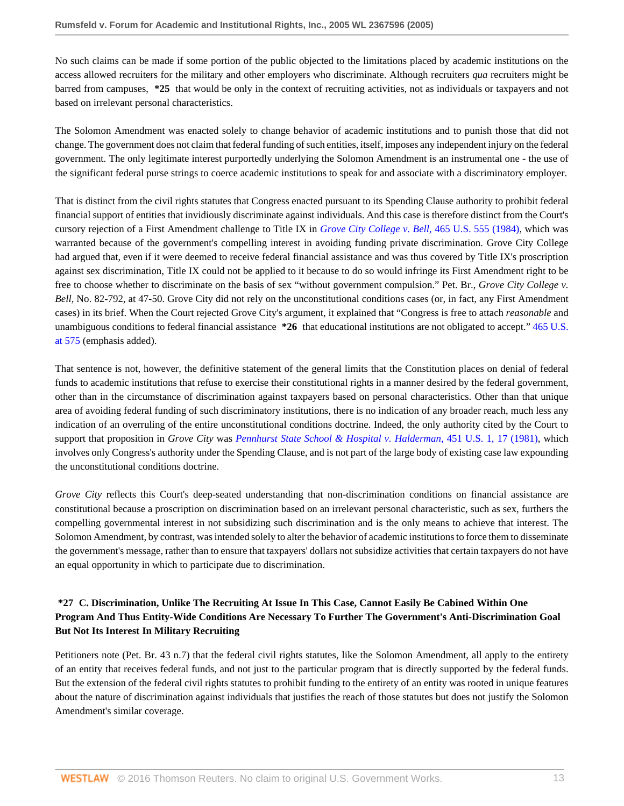No such claims can be made if some portion of the public objected to the limitations placed by academic institutions on the access allowed recruiters for the military and other employers who discriminate. Although recruiters *qua* recruiters might be barred from campuses, **\*25** that would be only in the context of recruiting activities, not as individuals or taxpayers and not based on irrelevant personal characteristics.

The Solomon Amendment was enacted solely to change behavior of academic institutions and to punish those that did not change. The government does not claim that federal funding of such entities, itself, imposes any independent injury on the federal government. The only legitimate interest purportedly underlying the Solomon Amendment is an instrumental one - the use of the significant federal purse strings to coerce academic institutions to speak for and associate with a discriminatory employer.

That is distinct from the civil rights statutes that Congress enacted pursuant to its Spending Clause authority to prohibit federal financial support of entities that invidiously discriminate against individuals. And this case is therefore distinct from the Court's cursory rejection of a First Amendment challenge to Title IX in *[Grove City College v. Bell,](http://www.westlaw.com/Link/Document/FullText?findType=Y&serNum=1984110000&pubNum=0000780&originatingDoc=I6c8b24402f9d11dab072a248d584787d&refType=RP&originationContext=document&vr=3.0&rs=cblt1.0&transitionType=DocumentItem&contextData=(sc.RelatedInfo))* 465 U.S. 555 (1984), which was warranted because of the government's compelling interest in avoiding funding private discrimination. Grove City College had argued that, even if it were deemed to receive federal financial assistance and was thus covered by Title IX's proscription against sex discrimination, Title IX could not be applied to it because to do so would infringe its First Amendment right to be free to choose whether to discriminate on the basis of sex "without government compulsion." Pet. Br., *Grove City College v. Bell,* No. 82-792, at 47-50. Grove City did not rely on the unconstitutional conditions cases (or, in fact, any First Amendment cases) in its brief. When the Court rejected Grove City's argument, it explained that "Congress is free to attach *reasonable* and unambiguous conditions to federal financial assistance **\*26** that educational institutions are not obligated to accept." [465 U.S.](http://www.westlaw.com/Link/Document/FullText?findType=Y&serNum=1984110000&pubNum=0000780&originatingDoc=I6c8b24402f9d11dab072a248d584787d&refType=RP&fi=co_pp_sp_780_575&originationContext=document&vr=3.0&rs=cblt1.0&transitionType=DocumentItem&contextData=(sc.RelatedInfo)#co_pp_sp_780_575) [at 575](http://www.westlaw.com/Link/Document/FullText?findType=Y&serNum=1984110000&pubNum=0000780&originatingDoc=I6c8b24402f9d11dab072a248d584787d&refType=RP&fi=co_pp_sp_780_575&originationContext=document&vr=3.0&rs=cblt1.0&transitionType=DocumentItem&contextData=(sc.RelatedInfo)#co_pp_sp_780_575) (emphasis added).

That sentence is not, however, the definitive statement of the general limits that the Constitution places on denial of federal funds to academic institutions that refuse to exercise their constitutional rights in a manner desired by the federal government, other than in the circumstance of discrimination against taxpayers based on personal characteristics. Other than that unique area of avoiding federal funding of such discriminatory institutions, there is no indication of any broader reach, much less any indication of an overruling of the entire unconstitutional conditions doctrine. Indeed, the only authority cited by the Court to support that proposition in *Grove City* was *[Pennhurst State School & Hospital v. Halderman,](http://www.westlaw.com/Link/Document/FullText?findType=Y&serNum=1981117224&pubNum=0000780&originatingDoc=I6c8b24402f9d11dab072a248d584787d&refType=RP&fi=co_pp_sp_780_17&originationContext=document&vr=3.0&rs=cblt1.0&transitionType=DocumentItem&contextData=(sc.RelatedInfo)#co_pp_sp_780_17)* 451 U.S. 1, 17 (1981), which involves only Congress's authority under the Spending Clause, and is not part of the large body of existing case law expounding the unconstitutional conditions doctrine.

*Grove City* reflects this Court's deep-seated understanding that non-discrimination conditions on financial assistance are constitutional because a proscription on discrimination based on an irrelevant personal characteristic, such as sex, furthers the compelling governmental interest in not subsidizing such discrimination and is the only means to achieve that interest. The Solomon Amendment, by contrast, was intended solely to alter the behavior of academic institutions to force them to disseminate the government's message, rather than to ensure that taxpayers' dollars not subsidize activities that certain taxpayers do not have an equal opportunity in which to participate due to discrimination.

# **\*27 C. Discrimination, Unlike The Recruiting At Issue In This Case, Cannot Easily Be Cabined Within One Program And Thus Entity-Wide Conditions Are Necessary To Further The Government's Anti-Discrimination Goal But Not Its Interest In Military Recruiting**

Petitioners note (Pet. Br. 43 n.7) that the federal civil rights statutes, like the Solomon Amendment, all apply to the entirety of an entity that receives federal funds, and not just to the particular program that is directly supported by the federal funds. But the extension of the federal civil rights statutes to prohibit funding to the entirety of an entity was rooted in unique features about the nature of discrimination against individuals that justifies the reach of those statutes but does not justify the Solomon Amendment's similar coverage.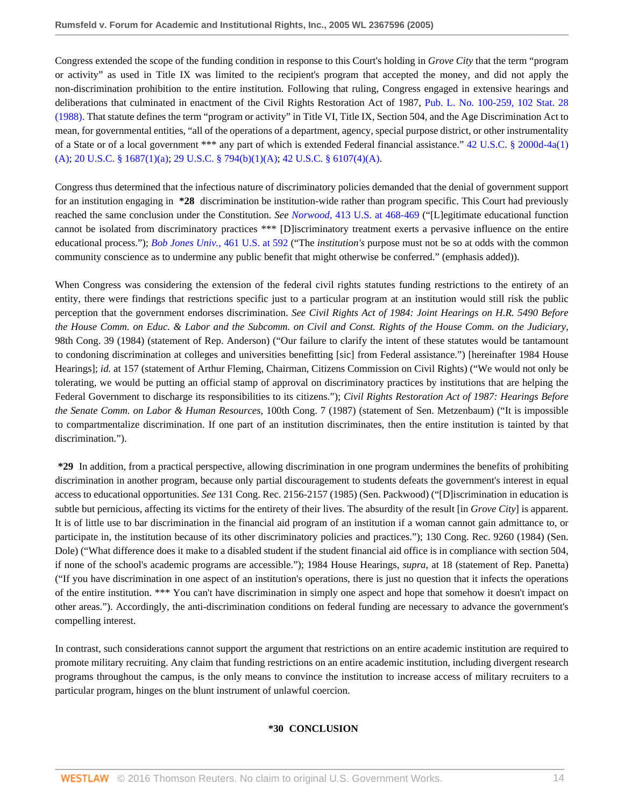Congress extended the scope of the funding condition in response to this Court's holding in *Grove City* that the term "program or activity" as used in Title IX was limited to the recipient's program that accepted the money, and did not apply the non-discrimination prohibition to the entire institution. Following that ruling, Congress engaged in extensive hearings and deliberations that culminated in enactment of the Civil Rights Restoration Act of 1987, [Pub. L. No. 100-259, 102 Stat. 28](http://www.westlaw.com/Link/Document/FullText?findType=l&pubNum=1077005&cite=UUID(I147EBD1102-C648629E98B-13D7B57618A)&originatingDoc=I6c8b24402f9d11dab072a248d584787d&refType=SL&originationContext=document&vr=3.0&rs=cblt1.0&transitionType=DocumentItem&contextData=(sc.RelatedInfo)) [\(1988\).](http://www.westlaw.com/Link/Document/FullText?findType=l&pubNum=1077005&cite=UUID(I147EBD1102-C648629E98B-13D7B57618A)&originatingDoc=I6c8b24402f9d11dab072a248d584787d&refType=SL&originationContext=document&vr=3.0&rs=cblt1.0&transitionType=DocumentItem&contextData=(sc.RelatedInfo)) That statute defines the term "program or activity" in Title VI, Title IX, Section 504, and the Age Discrimination Act to mean, for governmental entities, "all of the operations of a department, agency, special purpose district, or other instrumentality of a State or of a local government \*\*\* any part of which is extended Federal financial assistance." [42 U.S.C. § 2000d-4a\(1\)](http://www.westlaw.com/Link/Document/FullText?findType=L&pubNum=1000546&cite=42USCAS2000D-4A&originatingDoc=I6c8b24402f9d11dab072a248d584787d&refType=RB&originationContext=document&vr=3.0&rs=cblt1.0&transitionType=DocumentItem&contextData=(sc.RelatedInfo)#co_pp_957e0000bdb05) [\(A\);](http://www.westlaw.com/Link/Document/FullText?findType=L&pubNum=1000546&cite=42USCAS2000D-4A&originatingDoc=I6c8b24402f9d11dab072a248d584787d&refType=RB&originationContext=document&vr=3.0&rs=cblt1.0&transitionType=DocumentItem&contextData=(sc.RelatedInfo)#co_pp_957e0000bdb05) [20 U.S.C. § 1687\(1\)\(a\)](http://www.westlaw.com/Link/Document/FullText?findType=L&pubNum=1000546&cite=20USCAS1687&originatingDoc=I6c8b24402f9d11dab072a248d584787d&refType=RB&originationContext=document&vr=3.0&rs=cblt1.0&transitionType=DocumentItem&contextData=(sc.RelatedInfo)#co_pp_f1c50000821b0); [29 U.S.C. § 794\(b\)\(1\)\(A\)](http://www.westlaw.com/Link/Document/FullText?findType=L&pubNum=1000546&cite=29USCAS794&originatingDoc=I6c8b24402f9d11dab072a248d584787d&refType=RB&originationContext=document&vr=3.0&rs=cblt1.0&transitionType=DocumentItem&contextData=(sc.RelatedInfo)#co_pp_8b16000077793); [42 U.S.C. § 6107\(4\)\(A\).](http://www.westlaw.com/Link/Document/FullText?findType=L&pubNum=1000546&cite=42USCAS6107&originatingDoc=I6c8b24402f9d11dab072a248d584787d&refType=RB&originationContext=document&vr=3.0&rs=cblt1.0&transitionType=DocumentItem&contextData=(sc.RelatedInfo)#co_pp_5e3c000005b05)

Congress thus determined that the infectious nature of discriminatory policies demanded that the denial of government support for an institution engaging in **\*28** discrimination be institution-wide rather than program specific. This Court had previously reached the same conclusion under the Constitution. *See Norwood*[, 413 U.S. at 468-469](http://www.westlaw.com/Link/Document/FullText?findType=Y&serNum=1973126448&pubNum=0000780&originatingDoc=I6c8b24402f9d11dab072a248d584787d&refType=RP&fi=co_pp_sp_780_468&originationContext=document&vr=3.0&rs=cblt1.0&transitionType=DocumentItem&contextData=(sc.RelatedInfo)#co_pp_sp_780_468) ("[L]egitimate educational function cannot be isolated from discriminatory practices \*\*\* [D]iscriminatory treatment exerts a pervasive influence on the entire educational process."); *Bob Jones Univ.*[, 461 U.S. at 592](http://www.westlaw.com/Link/Document/FullText?findType=Y&serNum=1983124276&pubNum=0000780&originatingDoc=I6c8b24402f9d11dab072a248d584787d&refType=RP&fi=co_pp_sp_780_592&originationContext=document&vr=3.0&rs=cblt1.0&transitionType=DocumentItem&contextData=(sc.RelatedInfo)#co_pp_sp_780_592) ("The *institution's* purpose must not be so at odds with the common community conscience as to undermine any public benefit that might otherwise be conferred." (emphasis added)).

When Congress was considering the extension of the federal civil rights statutes funding restrictions to the entirety of an entity, there were findings that restrictions specific just to a particular program at an institution would still risk the public perception that the government endorses discrimination. *See Civil Rights Act of 1984: Joint Hearings on H.R. 5490 Before the House Comm. on Educ. & Labor and the Subcomm. on Civil and Const. Rights of the House Comm. on the Judiciary*, 98th Cong. 39 (1984) (statement of Rep. Anderson) ("Our failure to clarify the intent of these statutes would be tantamount to condoning discrimination at colleges and universities benefitting [sic] from Federal assistance.") [hereinafter 1984 House Hearings]; *id.* at 157 (statement of Arthur Fleming, Chairman, Citizens Commission on Civil Rights) ("We would not only be tolerating, we would be putting an official stamp of approval on discriminatory practices by institutions that are helping the Federal Government to discharge its responsibilities to its citizens."); *Civil Rights Restoration Act of 1987: Hearings Before the Senate Comm. on Labor & Human Resources*, 100th Cong. 7 (1987) (statement of Sen. Metzenbaum) ("It is impossible to compartmentalize discrimination. If one part of an institution discriminates, then the entire institution is tainted by that discrimination.").

**\*29** In addition, from a practical perspective, allowing discrimination in one program undermines the benefits of prohibiting discrimination in another program, because only partial discouragement to students defeats the government's interest in equal access to educational opportunities. *See* 131 Cong. Rec. 2156-2157 (1985) (Sen. Packwood) ("[D]iscrimination in education is subtle but pernicious, affecting its victims for the entirety of their lives. The absurdity of the result [in *Grove City*] is apparent. It is of little use to bar discrimination in the financial aid program of an institution if a woman cannot gain admittance to, or participate in, the institution because of its other discriminatory policies and practices."); 130 Cong. Rec. 9260 (1984) (Sen. Dole) ("What difference does it make to a disabled student if the student financial aid office is in compliance with section 504, if none of the school's academic programs are accessible."); 1984 House Hearings, *supra*, at 18 (statement of Rep. Panetta) ("If you have discrimination in one aspect of an institution's operations, there is just no question that it infects the operations of the entire institution. \*\*\* You can't have discrimination in simply one aspect and hope that somehow it doesn't impact on other areas."). Accordingly, the anti-discrimination conditions on federal funding are necessary to advance the government's compelling interest.

In contrast, such considerations cannot support the argument that restrictions on an entire academic institution are required to promote military recruiting. Any claim that funding restrictions on an entire academic institution, including divergent research programs throughout the campus, is the only means to convince the institution to increase access of military recruiters to a particular program, hinges on the blunt instrument of unlawful coercion.

### **\*30 CONCLUSION**